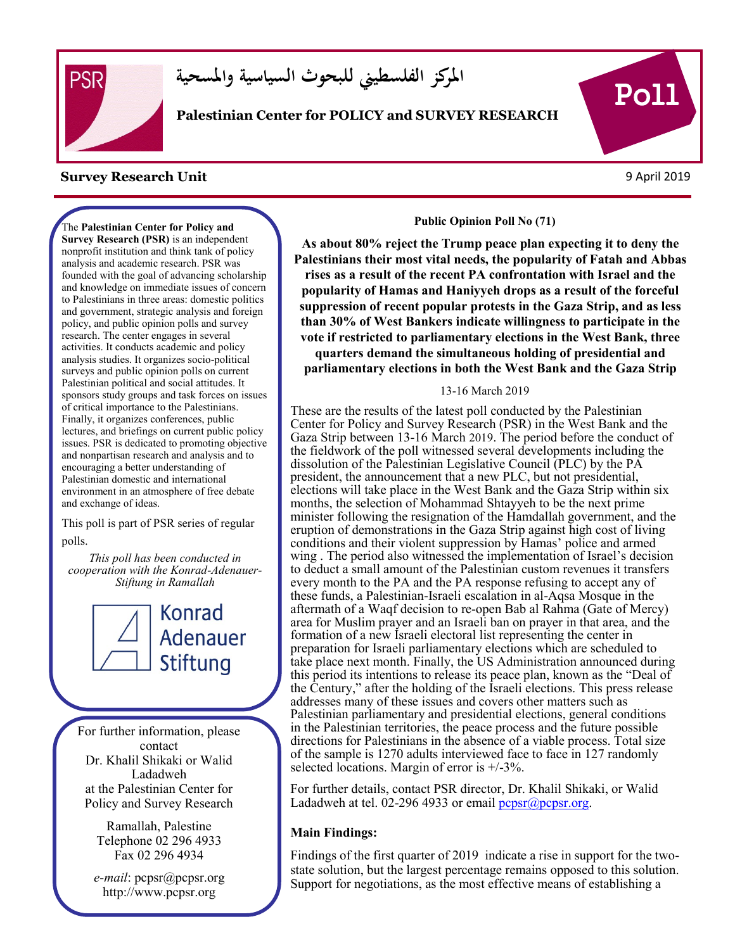

**املركز الفلسطيين للبحوث السياسية واملسحية**

**Palestinian Center for POLICY and SURVEY RESEARCH**

#### **Survey Research Unit** 9 April 2019

The **Palestinian Center for Policy and Survey Research (PSR)** is an independent nonprofit institution and think tank of policy analysis and academic research. PSR was founded with the goal of advancing scholarship and knowledge on immediate issues of concern to Palestinians in three areas: domestic politics and government, strategic analysis and foreign policy, and public opinion polls and survey research. The center engages in several activities. It conducts academic and policy analysis studies. It organizes socio-political surveys and public opinion polls on current Palestinian political and social attitudes. It sponsors study groups and task forces on issues of critical importance to the Palestinians. Finally, it organizes conferences, public lectures, and briefings on current public policy issues. PSR is dedicated to promoting objective and nonpartisan research and analysis and to encouraging a better understanding of Palestinian domestic and international environment in an atmosphere of free debate and exchange of ideas.

This poll is part of PSR series of regular polls.

*This poll has been conducted in cooperation with the Konrad-Adenauer-Stiftung in Ramallah*



For further information, please contact Dr. Khalil Shikaki or Walid Ladadweh at the Palestinian Center for Policy and Survey Research

> Ramallah, Palestine Telephone 02 296 4933 Fax 02 296 4934

*e-mail*: pcpsr@pcpsr.org http://www.pcpsr.org

**Public Opinion Poll No (71)**

**As about 80% reject the Trump peace plan expecting it to deny the Palestinians their most vital needs, the popularity of Fatah and Abbas rises as a result of the recent PA confrontation with Israel and the popularity of Hamas and Haniyyeh drops as a result of the forceful suppression of recent popular protests in the Gaza Strip, and as less than 30% of West Bankers indicate willingness to participate in the vote if restricted to parliamentary elections in the West Bank, three quarters demand the simultaneous holding of presidential and parliamentary elections in both the West Bank and the Gaza Strip** 

#### 13-16 March 2019

These are the results of the latest poll conducted by the Palestinian Center for Policy and Survey Research (PSR) in the West Bank and the Gaza Strip between 13-16 March 2019. The period before the conduct of the fieldwork of the poll witnessed several developments including the dissolution of the Palestinian Legislative Council (PLC) by the PA president, the announcement that a new PLC, but not presidential, elections will take place in the West Bank and the Gaza Strip within six months, the selection of Mohammad Shtayyeh to be the next prime minister following the resignation of the Hamdallah government, and the eruption of demonstrations in the Gaza Strip against high cost of living conditions and their violent suppression by Hamas' police and armed wing . The period also witnessed the implementation of Israel's decision to deduct a small amount of the Palestinian custom revenues it transfers every month to the PA and the PA response refusing to accept any of these funds, a Palestinian-Israeli escalation in al-Aqsa Mosque in the aftermath of a Waqf decision to re-open Bab al Rahma (Gate of Mercy) area for Muslim prayer and an Israeli ban on prayer in that area, and the formation of a new Israeli electoral list representing the center in preparation for Israeli parliamentary elections which are scheduled to take place next month. Finally, the US Administration announced during this period its intentions to release its peace plan, known as the "Deal of the Century," after the holding of the Israeli elections. This press release addresses many of these issues and covers other matters such as Palestinian parliamentary and presidential elections, general conditions in the Palestinian territories, the peace process and the future possible directions for Palestinians in the absence of a viable process. Total size of the sample is 1270 adults interviewed face to face in 127 randomly selected locations. Margin of error is +/-3%.

For further details, contact PSR director, Dr. Khalil Shikaki, or Walid Ladadweh at tel. 02-296 4933 or email  $p_{\text{cpsr}}(\hat{a})p_{\text{cpsr}}$ .org.

#### **Main Findings:**

Findings of the first quarter of 2019 indicate a rise in support for the twostate solution, but the largest percentage remains opposed to this solution. Support for negotiations, as the most effective means of establishing a

s

Poll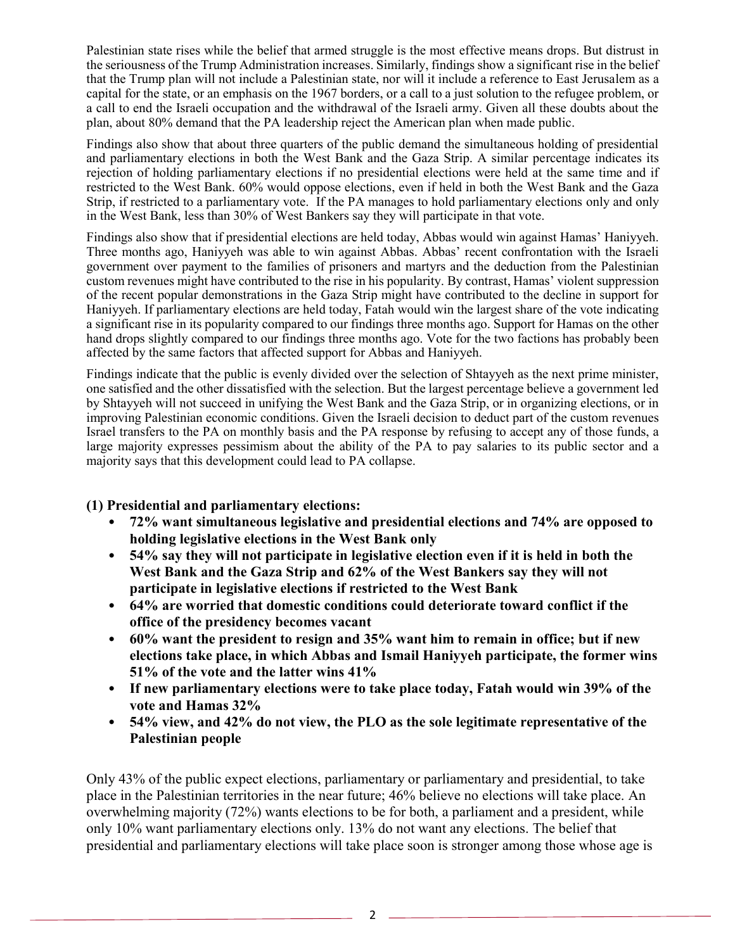Palestinian state rises while the belief that armed struggle is the most effective means drops. But distrust in the seriousness of the Trump Administration increases. Similarly, findings show a significant rise in the belief that the Trump plan will not include a Palestinian state, nor will it include a reference to East Jerusalem as a capital for the state, or an emphasis on the 1967 borders, or a call to a just solution to the refugee problem, or a call to end the Israeli occupation and the withdrawal of the Israeli army. Given all these doubts about the plan, about 80% demand that the PA leadership reject the American plan when made public.

Findings also show that about three quarters of the public demand the simultaneous holding of presidential and parliamentary elections in both the West Bank and the Gaza Strip. A similar percentage indicates its rejection of holding parliamentary elections if no presidential elections were held at the same time and if restricted to the West Bank. 60% would oppose elections, even if held in both the West Bank and the Gaza Strip, if restricted to a parliamentary vote. If the PA manages to hold parliamentary elections only and only in the West Bank, less than 30% of West Bankers say they will participate in that vote.

Findings also show that if presidential elections are held today, Abbas would win against Hamas' Haniyyeh. Three months ago, Haniyyeh was able to win against Abbas. Abbas' recent confrontation with the Israeli government over payment to the families of prisoners and martyrs and the deduction from the Palestinian custom revenues might have contributed to the rise in his popularity. By contrast, Hamas' violent suppression of the recent popular demonstrations in the Gaza Strip might have contributed to the decline in support for Haniyyeh. If parliamentary elections are held today, Fatah would win the largest share of the vote indicating a significant rise in its popularity compared to our findings three months ago. Support for Hamas on the other hand drops slightly compared to our findings three months ago. Vote for the two factions has probably been affected by the same factors that affected support for Abbas and Haniyyeh.

Findings indicate that the public is evenly divided over the selection of Shtayyeh as the next prime minister, one satisfied and the other dissatisfied with the selection. But the largest percentage believe a government led by Shtayyeh will not succeed in unifying the West Bank and the Gaza Strip, or in organizing elections, or in improving Palestinian economic conditions. Given the Israeli decision to deduct part of the custom revenues Israel transfers to the PA on monthly basis and the PA response by refusing to accept any of those funds, a large majority expresses pessimism about the ability of the PA to pay salaries to its public sector and a majority says that this development could lead to PA collapse.

### **(1) Presidential and parliamentary elections:**

- **72% want simultaneous legislative and presidential elections and 74% are opposed to holding legislative elections in the West Bank only**
- **54% say they will not participate in legislative election even if it is held in both the West Bank and the Gaza Strip and 62% of the West Bankers say they will not participate in legislative elections if restricted to the West Bank**
- **64% are worried that domestic conditions could deteriorate toward conflict if the office of the presidency becomes vacant**
- **60% want the president to resign and 35% want him to remain in office; but if new elections take place, in which Abbas and Ismail Haniyyeh participate, the former wins 51% of the vote and the latter wins 41%**
- **If new parliamentary elections were to take place today, Fatah would win 39% of the vote and Hamas 32%**
- **54% view, and 42% do not view, the PLO as the sole legitimate representative of the Palestinian people**

Only 43% of the public expect elections, parliamentary or parliamentary and presidential, to take place in the Palestinian territories in the near future; 46% believe no elections will take place. An overwhelming majority (72%) wants elections to be for both, a parliament and a president, while only 10% want parliamentary elections only. 13% do not want any elections. The belief that presidential and parliamentary elections will take place soon is stronger among those whose age is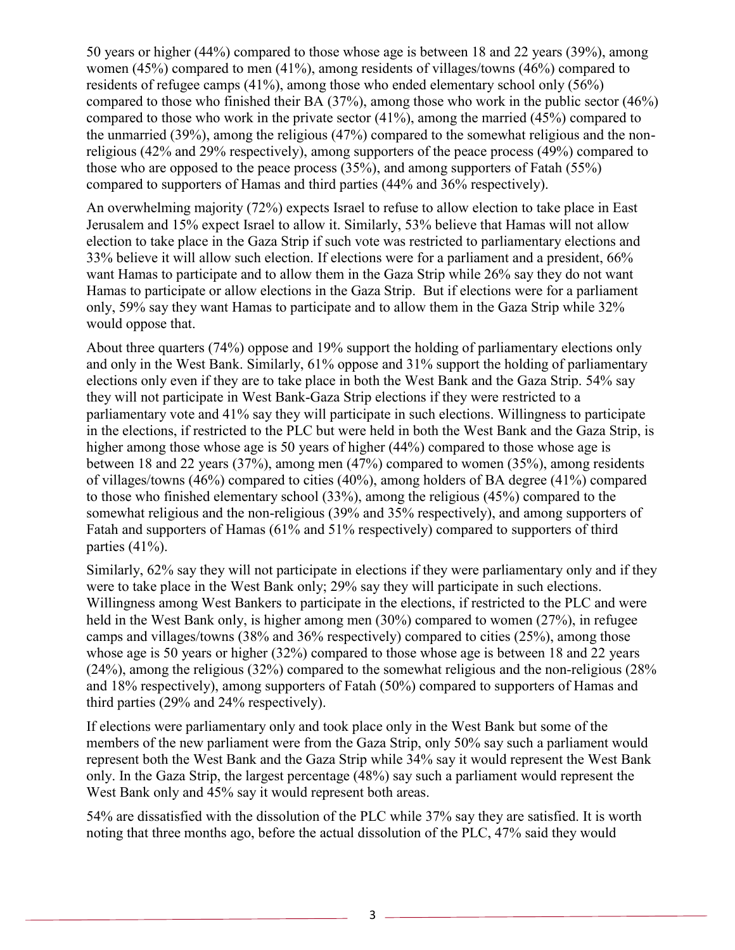50 years or higher (44%) compared to those whose age is between 18 and 22 years (39%), among women (45%) compared to men (41%), among residents of villages/towns (46%) compared to residents of refugee camps (41%), among those who ended elementary school only (56%) compared to those who finished their BA (37%), among those who work in the public sector (46%) compared to those who work in the private sector (41%), among the married (45%) compared to the unmarried (39%), among the religious (47%) compared to the somewhat religious and the nonreligious (42% and 29% respectively), among supporters of the peace process (49%) compared to those who are opposed to the peace process (35%), and among supporters of Fatah (55%) compared to supporters of Hamas and third parties (44% and 36% respectively).

An overwhelming majority (72%) expects Israel to refuse to allow election to take place in East Jerusalem and 15% expect Israel to allow it. Similarly, 53% believe that Hamas will not allow election to take place in the Gaza Strip if such vote was restricted to parliamentary elections and 33% believe it will allow such election. If elections were for a parliament and a president, 66% want Hamas to participate and to allow them in the Gaza Strip while 26% say they do not want Hamas to participate or allow elections in the Gaza Strip. But if elections were for a parliament only, 59% say they want Hamas to participate and to allow them in the Gaza Strip while 32% would oppose that.

About three quarters (74%) oppose and 19% support the holding of parliamentary elections only and only in the West Bank. Similarly, 61% oppose and 31% support the holding of parliamentary elections only even if they are to take place in both the West Bank and the Gaza Strip. 54% say they will not participate in West Bank-Gaza Strip elections if they were restricted to a parliamentary vote and 41% say they will participate in such elections. Willingness to participate in the elections, if restricted to the PLC but were held in both the West Bank and the Gaza Strip, is higher among those whose age is 50 years of higher (44%) compared to those whose age is between 18 and 22 years (37%), among men (47%) compared to women (35%), among residents of villages/towns (46%) compared to cities (40%), among holders of BA degree (41%) compared to those who finished elementary school (33%), among the religious (45%) compared to the somewhat religious and the non-religious (39% and 35% respectively), and among supporters of Fatah and supporters of Hamas (61% and 51% respectively) compared to supporters of third parties (41%).

Similarly, 62% say they will not participate in elections if they were parliamentary only and if they were to take place in the West Bank only; 29% say they will participate in such elections. Willingness among West Bankers to participate in the elections, if restricted to the PLC and were held in the West Bank only, is higher among men (30%) compared to women (27%), in refugee camps and villages/towns (38% and 36% respectively) compared to cities (25%), among those whose age is 50 years or higher (32%) compared to those whose age is between 18 and 22 years (24%), among the religious (32%) compared to the somewhat religious and the non-religious (28% and 18% respectively), among supporters of Fatah (50%) compared to supporters of Hamas and third parties (29% and 24% respectively).

If elections were parliamentary only and took place only in the West Bank but some of the members of the new parliament were from the Gaza Strip, only 50% say such a parliament would represent both the West Bank and the Gaza Strip while 34% say it would represent the West Bank only. In the Gaza Strip, the largest percentage (48%) say such a parliament would represent the West Bank only and 45% say it would represent both areas.

54% are dissatisfied with the dissolution of the PLC while 37% say they are satisfied. It is worth noting that three months ago, before the actual dissolution of the PLC, 47% said they would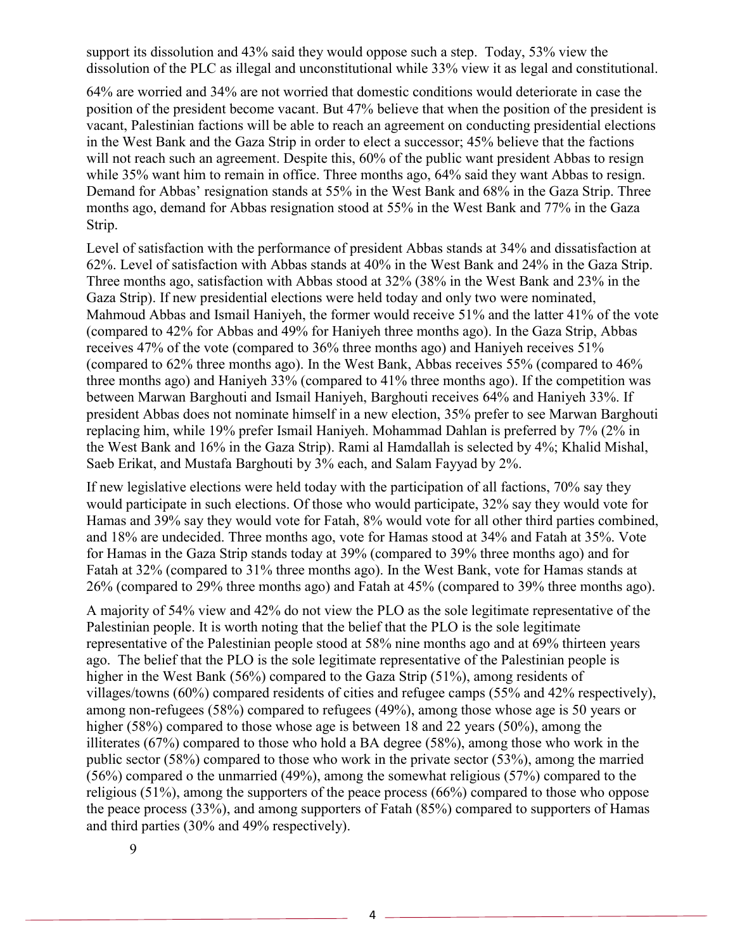support its dissolution and 43% said they would oppose such a step. Today, 53% view the dissolution of the PLC as illegal and unconstitutional while 33% view it as legal and constitutional.

64% are worried and 34% are not worried that domestic conditions would deteriorate in case the position of the president become vacant. But 47% believe that when the position of the president is vacant, Palestinian factions will be able to reach an agreement on conducting presidential elections in the West Bank and the Gaza Strip in order to elect a successor; 45% believe that the factions will not reach such an agreement. Despite this, 60% of the public want president Abbas to resign while 35% want him to remain in office. Three months ago, 64% said they want Abbas to resign. Demand for Abbas' resignation stands at 55% in the West Bank and 68% in the Gaza Strip. Three months ago, demand for Abbas resignation stood at 55% in the West Bank and 77% in the Gaza Strip.

Level of satisfaction with the performance of president Abbas stands at 34% and dissatisfaction at 62%. Level of satisfaction with Abbas stands at 40% in the West Bank and 24% in the Gaza Strip. Three months ago, satisfaction with Abbas stood at 32% (38% in the West Bank and 23% in the Gaza Strip). If new presidential elections were held today and only two were nominated, Mahmoud Abbas and Ismail Haniyeh, the former would receive 51% and the latter 41% of the vote (compared to 42% for Abbas and 49% for Haniyeh three months ago). In the Gaza Strip, Abbas receives 47% of the vote (compared to 36% three months ago) and Haniyeh receives 51% (compared to 62% three months ago). In the West Bank, Abbas receives 55% (compared to 46% three months ago) and Haniyeh 33% (compared to 41% three months ago). If the competition was between Marwan Barghouti and Ismail Haniyeh, Barghouti receives 64% and Haniyeh 33%. If president Abbas does not nominate himself in a new election, 35% prefer to see Marwan Barghouti replacing him, while 19% prefer Ismail Haniyeh. Mohammad Dahlan is preferred by 7% (2% in the West Bank and 16% in the Gaza Strip). Rami al Hamdallah is selected by 4%; Khalid Mishal, Saeb Erikat, and Mustafa Barghouti by 3% each, and Salam Fayyad by 2%.

If new legislative elections were held today with the participation of all factions, 70% say they would participate in such elections. Of those who would participate, 32% say they would vote for Hamas and 39% say they would vote for Fatah, 8% would vote for all other third parties combined, and 18% are undecided. Three months ago, vote for Hamas stood at 34% and Fatah at 35%. Vote for Hamas in the Gaza Strip stands today at 39% (compared to 39% three months ago) and for Fatah at 32% (compared to 31% three months ago). In the West Bank, vote for Hamas stands at 26% (compared to 29% three months ago) and Fatah at 45% (compared to 39% three months ago).

A majority of 54% view and 42% do not view the PLO as the sole legitimate representative of the Palestinian people. It is worth noting that the belief that the PLO is the sole legitimate representative of the Palestinian people stood at 58% nine months ago and at 69% thirteen years ago. The belief that the PLO is the sole legitimate representative of the Palestinian people is higher in the West Bank (56%) compared to the Gaza Strip (51%), among residents of villages/towns (60%) compared residents of cities and refugee camps (55% and 42% respectively), among non-refugees (58%) compared to refugees (49%), among those whose age is 50 years or higher (58%) compared to those whose age is between 18 and 22 years (50%), among the illiterates (67%) compared to those who hold a BA degree (58%), among those who work in the public sector (58%) compared to those who work in the private sector (53%), among the married (56%) compared o the unmarried (49%), among the somewhat religious (57%) compared to the religious (51%), among the supporters of the peace process (66%) compared to those who oppose the peace process (33%), and among supporters of Fatah (85%) compared to supporters of Hamas and third parties (30% and 49% respectively).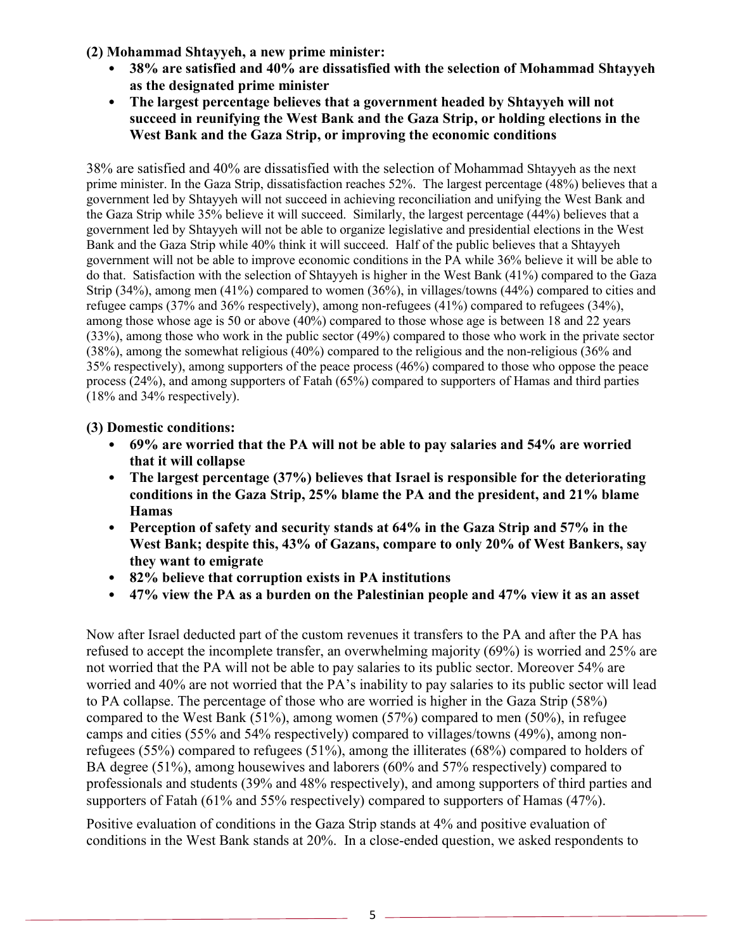**(2) Mohammad Shtayyeh, a new prime minister:** 

- **38% are satisfied and 40% are dissatisfied with the selection of Mohammad Shtayyeh as the designated prime minister**
- **The largest percentage believes that a government headed by Shtayyeh will not succeed in reunifying the West Bank and the Gaza Strip, or holding elections in the West Bank and the Gaza Strip, or improving the economic conditions**

38% are satisfied and 40% are dissatisfied with the selection of Mohammad Shtayyeh as the next prime minister. In the Gaza Strip, dissatisfaction reaches 52%. The largest percentage (48%) believes that a government led by Shtayyeh will not succeed in achieving reconciliation and unifying the West Bank and the Gaza Strip while 35% believe it will succeed. Similarly, the largest percentage (44%) believes that a government led by Shtayyeh will not be able to organize legislative and presidential elections in the West Bank and the Gaza Strip while 40% think it will succeed. Half of the public believes that a Shtayyeh government will not be able to improve economic conditions in the PA while 36% believe it will be able to do that. Satisfaction with the selection of Shtayyeh is higher in the West Bank (41%) compared to the Gaza Strip (34%), among men (41%) compared to women (36%), in villages/towns (44%) compared to cities and refugee camps (37% and 36% respectively), among non-refugees (41%) compared to refugees (34%), among those whose age is 50 or above (40%) compared to those whose age is between 18 and 22 years (33%), among those who work in the public sector (49%) compared to those who work in the private sector (38%), among the somewhat religious (40%) compared to the religious and the non-religious (36% and 35% respectively), among supporters of the peace process (46%) compared to those who oppose the peace process (24%), and among supporters of Fatah (65%) compared to supporters of Hamas and third parties (18% and 34% respectively).

## **(3) Domestic conditions:**

- **69% are worried that the PA will not be able to pay salaries and 54% are worried that it will collapse**
- **The largest percentage (37%) believes that Israel is responsible for the deteriorating conditions in the Gaza Strip, 25% blame the PA and the president, and 21% blame Hamas**
- **Perception of safety and security stands at 64% in the Gaza Strip and 57% in the West Bank; despite this, 43% of Gazans, compare to only 20% of West Bankers, say they want to emigrate**
- **82% believe that corruption exists in PA institutions**
- **47% view the PA as a burden on the Palestinian people and 47% view it as an asset**

Now after Israel deducted part of the custom revenues it transfers to the PA and after the PA has refused to accept the incomplete transfer, an overwhelming majority (69%) is worried and 25% are not worried that the PA will not be able to pay salaries to its public sector. Moreover 54% are worried and 40% are not worried that the PA's inability to pay salaries to its public sector will lead to PA collapse. The percentage of those who are worried is higher in the Gaza Strip (58%) compared to the West Bank (51%), among women (57%) compared to men (50%), in refugee camps and cities (55% and 54% respectively) compared to villages/towns (49%), among nonrefugees (55%) compared to refugees (51%), among the illiterates (68%) compared to holders of BA degree (51%), among housewives and laborers (60% and 57% respectively) compared to professionals and students (39% and 48% respectively), and among supporters of third parties and supporters of Fatah (61% and 55% respectively) compared to supporters of Hamas (47%).

Positive evaluation of conditions in the Gaza Strip stands at 4% and positive evaluation of conditions in the West Bank stands at 20%. In a close-ended question, we asked respondents to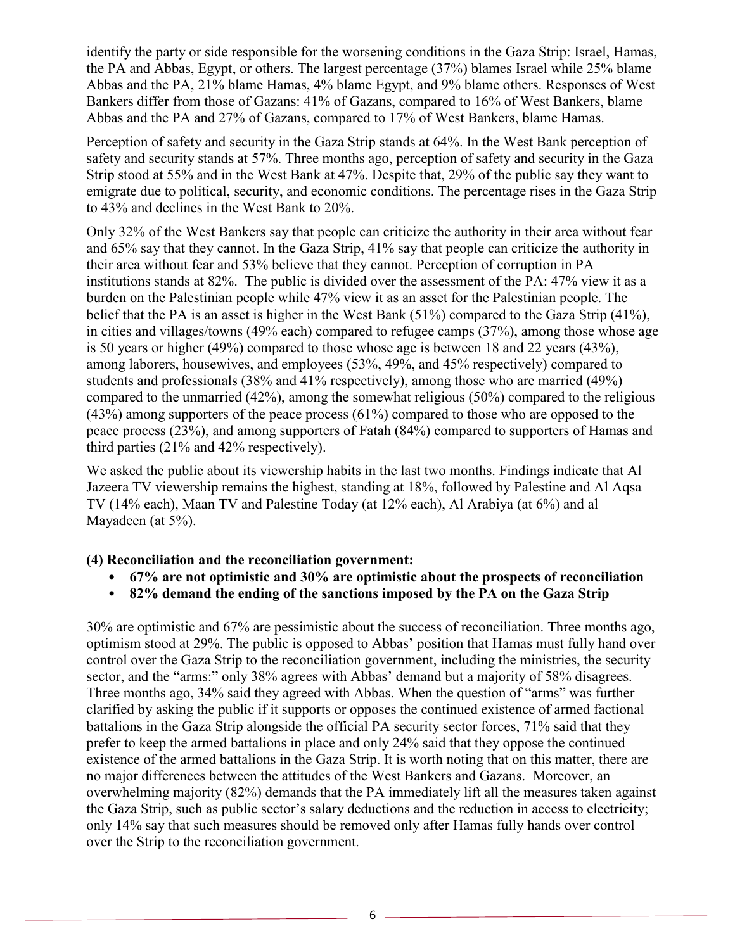identify the party or side responsible for the worsening conditions in the Gaza Strip: Israel, Hamas, the PA and Abbas, Egypt, or others. The largest percentage (37%) blames Israel while 25% blame Abbas and the PA, 21% blame Hamas, 4% blame Egypt, and 9% blame others. Responses of West Bankers differ from those of Gazans: 41% of Gazans, compared to 16% of West Bankers, blame Abbas and the PA and 27% of Gazans, compared to 17% of West Bankers, blame Hamas.

Perception of safety and security in the Gaza Strip stands at 64%. In the West Bank perception of safety and security stands at 57%. Three months ago, perception of safety and security in the Gaza Strip stood at 55% and in the West Bank at 47%. Despite that, 29% of the public say they want to emigrate due to political, security, and economic conditions. The percentage rises in the Gaza Strip to 43% and declines in the West Bank to 20%.

Only 32% of the West Bankers say that people can criticize the authority in their area without fear and 65% say that they cannot. In the Gaza Strip, 41% say that people can criticize the authority in their area without fear and 53% believe that they cannot. Perception of corruption in PA institutions stands at 82%. The public is divided over the assessment of the PA: 47% view it as a burden on the Palestinian people while 47% view it as an asset for the Palestinian people. The belief that the PA is an asset is higher in the West Bank (51%) compared to the Gaza Strip (41%), in cities and villages/towns (49% each) compared to refugee camps (37%), among those whose age is 50 years or higher (49%) compared to those whose age is between 18 and 22 years (43%), among laborers, housewives, and employees (53%, 49%, and 45% respectively) compared to students and professionals (38% and 41% respectively), among those who are married (49%) compared to the unmarried (42%), among the somewhat religious (50%) compared to the religious  $(43%)$  among supporters of the peace process  $(61%)$  compared to those who are opposed to the peace process (23%), and among supporters of Fatah (84%) compared to supporters of Hamas and third parties (21% and 42% respectively).

We asked the public about its viewership habits in the last two months. Findings indicate that Al Jazeera TV viewership remains the highest, standing at 18%, followed by Palestine and Al Aqsa TV (14% each), Maan TV and Palestine Today (at 12% each), Al Arabiya (at 6%) and al Mayadeen (at 5%).

### **(4) Reconciliation and the reconciliation government:**

- **67% are not optimistic and 30% are optimistic about the prospects of reconciliation**
- **82% demand the ending of the sanctions imposed by the PA on the Gaza Strip**

30% are optimistic and 67% are pessimistic about the success of reconciliation. Three months ago, optimism stood at 29%. The public is opposed to Abbas' position that Hamas must fully hand over control over the Gaza Strip to the reconciliation government, including the ministries, the security sector, and the "arms:" only 38% agrees with Abbas' demand but a majority of 58% disagrees. Three months ago, 34% said they agreed with Abbas. When the question of "arms" was further clarified by asking the public if it supports or opposes the continued existence of armed factional battalions in the Gaza Strip alongside the official PA security sector forces, 71% said that they prefer to keep the armed battalions in place and only 24% said that they oppose the continued existence of the armed battalions in the Gaza Strip. It is worth noting that on this matter, there are no major differences between the attitudes of the West Bankers and Gazans. Moreover, an overwhelming majority (82%) demands that the PA immediately lift all the measures taken against the Gaza Strip, such as public sector's salary deductions and the reduction in access to electricity; only 14% say that such measures should be removed only after Hamas fully hands over control over the Strip to the reconciliation government.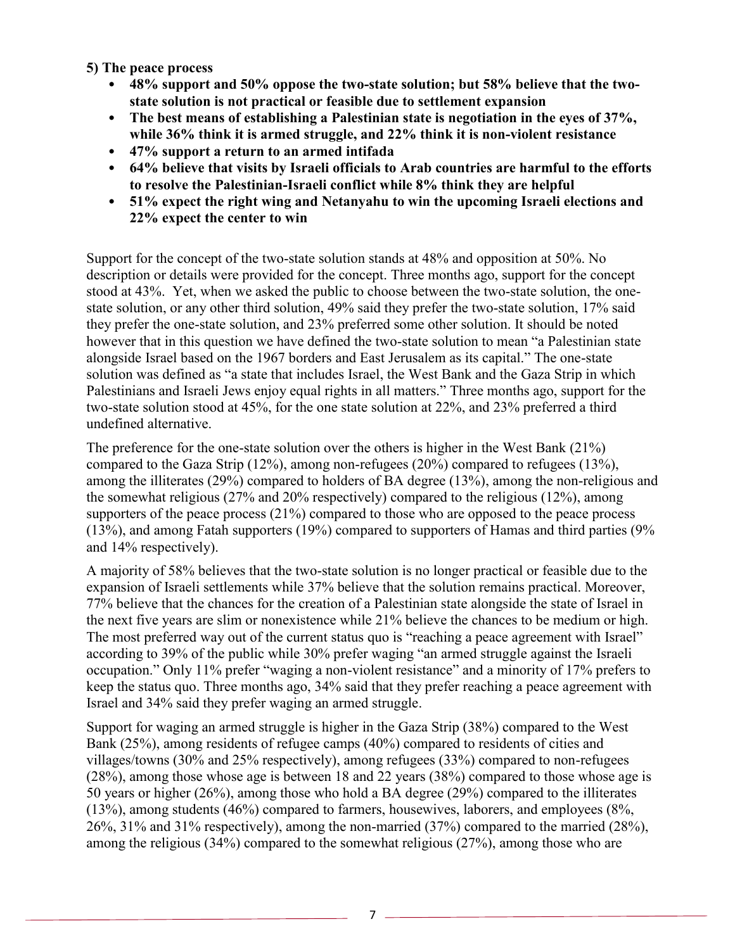**5) The peace process** 

- **48% support and 50% oppose the two-state solution; but 58% believe that the twostate solution is not practical or feasible due to settlement expansion**
- **The best means of establishing a Palestinian state is negotiation in the eyes of 37%, while 36% think it is armed struggle, and 22% think it is non-violent resistance**
- **47% support a return to an armed intifada**
- **64% believe that visits by Israeli officials to Arab countries are harmful to the efforts to resolve the Palestinian-Israeli conflict while 8% think they are helpful**
- **51% expect the right wing and Netanyahu to win the upcoming Israeli elections and 22% expect the center to win**

Support for the concept of the two-state solution stands at 48% and opposition at 50%. No description or details were provided for the concept. Three months ago, support for the concept stood at 43%. Yet, when we asked the public to choose between the two-state solution, the onestate solution, or any other third solution, 49% said they prefer the two-state solution, 17% said they prefer the one-state solution, and 23% preferred some other solution. It should be noted however that in this question we have defined the two-state solution to mean "a Palestinian state alongside Israel based on the 1967 borders and East Jerusalem as its capital." The one-state solution was defined as "a state that includes Israel, the West Bank and the Gaza Strip in which Palestinians and Israeli Jews enjoy equal rights in all matters." Three months ago, support for the two-state solution stood at 45%, for the one state solution at 22%, and 23% preferred a third undefined alternative.

The preference for the one-state solution over the others is higher in the West Bank (21%) compared to the Gaza Strip (12%), among non-refugees (20%) compared to refugees (13%), among the illiterates (29%) compared to holders of BA degree (13%), among the non-religious and the somewhat religious (27% and 20% respectively) compared to the religious (12%), among supporters of the peace process (21%) compared to those who are opposed to the peace process (13%), and among Fatah supporters (19%) compared to supporters of Hamas and third parties (9% and 14% respectively).

A majority of 58% believes that the two-state solution is no longer practical or feasible due to the expansion of Israeli settlements while 37% believe that the solution remains practical. Moreover, 77% believe that the chances for the creation of a Palestinian state alongside the state of Israel in the next five years are slim or nonexistence while 21% believe the chances to be medium or high. The most preferred way out of the current status quo is "reaching a peace agreement with Israel" according to 39% of the public while 30% prefer waging "an armed struggle against the Israeli occupation." Only 11% prefer "waging a non-violent resistance" and a minority of 17% prefers to keep the status quo. Three months ago, 34% said that they prefer reaching a peace agreement with Israel and 34% said they prefer waging an armed struggle.

Support for waging an armed struggle is higher in the Gaza Strip (38%) compared to the West Bank (25%), among residents of refugee camps (40%) compared to residents of cities and villages/towns (30% and 25% respectively), among refugees (33%) compared to non-refugees (28%), among those whose age is between 18 and 22 years (38%) compared to those whose age is 50 years or higher (26%), among those who hold a BA degree (29%) compared to the illiterates (13%), among students (46%) compared to farmers, housewives, laborers, and employees (8%, 26%, 31% and 31% respectively), among the non-married (37%) compared to the married (28%), among the religious (34%) compared to the somewhat religious (27%), among those who are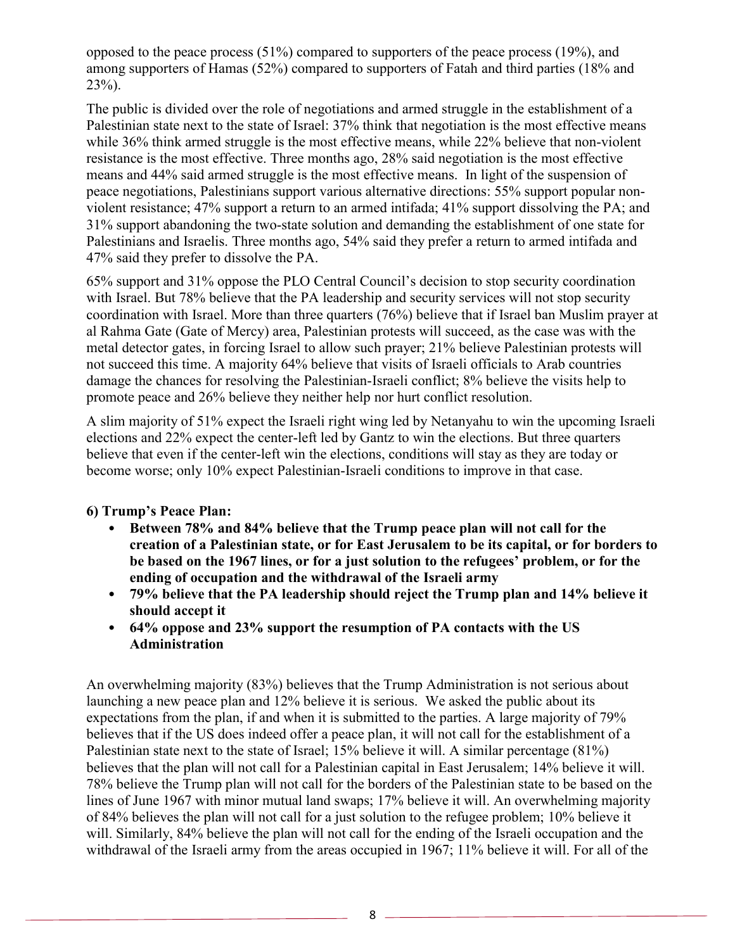opposed to the peace process (51%) compared to supporters of the peace process (19%), and among supporters of Hamas (52%) compared to supporters of Fatah and third parties (18% and  $23%$ ).

The public is divided over the role of negotiations and armed struggle in the establishment of a Palestinian state next to the state of Israel: 37% think that negotiation is the most effective means while 36% think armed struggle is the most effective means, while 22% believe that non-violent resistance is the most effective. Three months ago, 28% said negotiation is the most effective means and 44% said armed struggle is the most effective means. In light of the suspension of peace negotiations, Palestinians support various alternative directions: 55% support popular nonviolent resistance; 47% support a return to an armed intifada; 41% support dissolving the PA; and 31% support abandoning the two-state solution and demanding the establishment of one state for Palestinians and Israelis. Three months ago, 54% said they prefer a return to armed intifada and 47% said they prefer to dissolve the PA.

65% support and 31% oppose the PLO Central Council's decision to stop security coordination with Israel. But 78% believe that the PA leadership and security services will not stop security coordination with Israel. More than three quarters (76%) believe that if Israel ban Muslim prayer at al Rahma Gate (Gate of Mercy) area, Palestinian protests will succeed, as the case was with the metal detector gates, in forcing Israel to allow such prayer; 21% believe Palestinian protests will not succeed this time. A majority 64% believe that visits of Israeli officials to Arab countries damage the chances for resolving the Palestinian-Israeli conflict; 8% believe the visits help to promote peace and 26% believe they neither help nor hurt conflict resolution.

A slim majority of 51% expect the Israeli right wing led by Netanyahu to win the upcoming Israeli elections and 22% expect the center-left led by Gantz to win the elections. But three quarters believe that even if the center-left win the elections, conditions will stay as they are today or become worse; only 10% expect Palestinian-Israeli conditions to improve in that case.

# **6) Trump's Peace Plan:**

- **Between 78% and 84% believe that the Trump peace plan will not call for the creation of a Palestinian state, or for East Jerusalem to be its capital, or for borders to be based on the 1967 lines, or for a just solution to the refugees' problem, or for the ending of occupation and the withdrawal of the Israeli army**
- **79% believe that the PA leadership should reject the Trump plan and 14% believe it should accept it**
- **64% oppose and 23% support the resumption of PA contacts with the US Administration**

An overwhelming majority (83%) believes that the Trump Administration is not serious about launching a new peace plan and 12% believe it is serious. We asked the public about its expectations from the plan, if and when it is submitted to the parties. A large majority of 79% believes that if the US does indeed offer a peace plan, it will not call for the establishment of a Palestinian state next to the state of Israel; 15% believe it will. A similar percentage (81%) believes that the plan will not call for a Palestinian capital in East Jerusalem; 14% believe it will. 78% believe the Trump plan will not call for the borders of the Palestinian state to be based on the lines of June 1967 with minor mutual land swaps; 17% believe it will. An overwhelming majority of 84% believes the plan will not call for a just solution to the refugee problem; 10% believe it will. Similarly, 84% believe the plan will not call for the ending of the Israeli occupation and the withdrawal of the Israeli army from the areas occupied in 1967; 11% believe it will. For all of the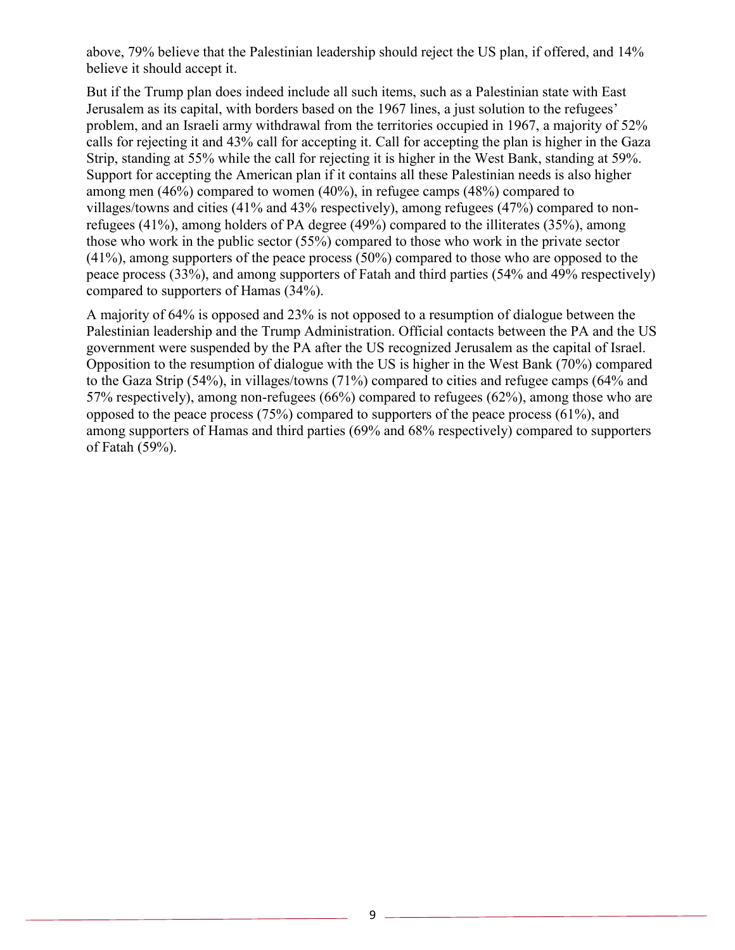above, 79% believe that the Palestinian leadership should reject the US plan, if offered, and 14% believe it should accept it.

But if the Trump plan does indeed include all such items, such as a Palestinian state with East Jerusalem as its capital, with borders based on the 1967 lines, a just solution to the refugees' problem, and an Israeli army withdrawal from the territories occupied in 1967, a majority of 52% calls for rejecting it and 43% call for accepting it. Call for accepting the plan is higher in the Gaza Strip, standing at 55% while the call for rejecting it is higher in the West Bank, standing at 59%. Support for accepting the American plan if it contains all these Palestinian needs is also higher among men (46%) compared to women (40%), in refugee camps (48%) compared to villages/towns and cities (41% and 43% respectively), among refugees (47%) compared to nonrefugees (41%), among holders of PA degree (49%) compared to the illiterates (35%), among those who work in the public sector (55%) compared to those who work in the private sector (41%), among supporters of the peace process (50%) compared to those who are opposed to the peace process (33%), and among supporters of Fatah and third parties (54% and 49% respectively) compared to supporters of Hamas (34%).

A majority of 64% is opposed and 23% is not opposed to a resumption of dialogue between the Palestinian leadership and the Trump Administration. Official contacts between the PA and the US government were suspended by the PA after the US recognized Jerusalem as the capital of Israel. Opposition to the resumption of dialogue with the US is higher in the West Bank (70%) compared to the Gaza Strip (54%), in villages/towns (71%) compared to cities and refugee camps (64% and 57% respectively), among non-refugees (66%) compared to refugees (62%), among those who are opposed to the peace process (75%) compared to supporters of the peace process (61%), and among supporters of Hamas and third parties (69% and 68% respectively) compared to supporters of Fatah (59%).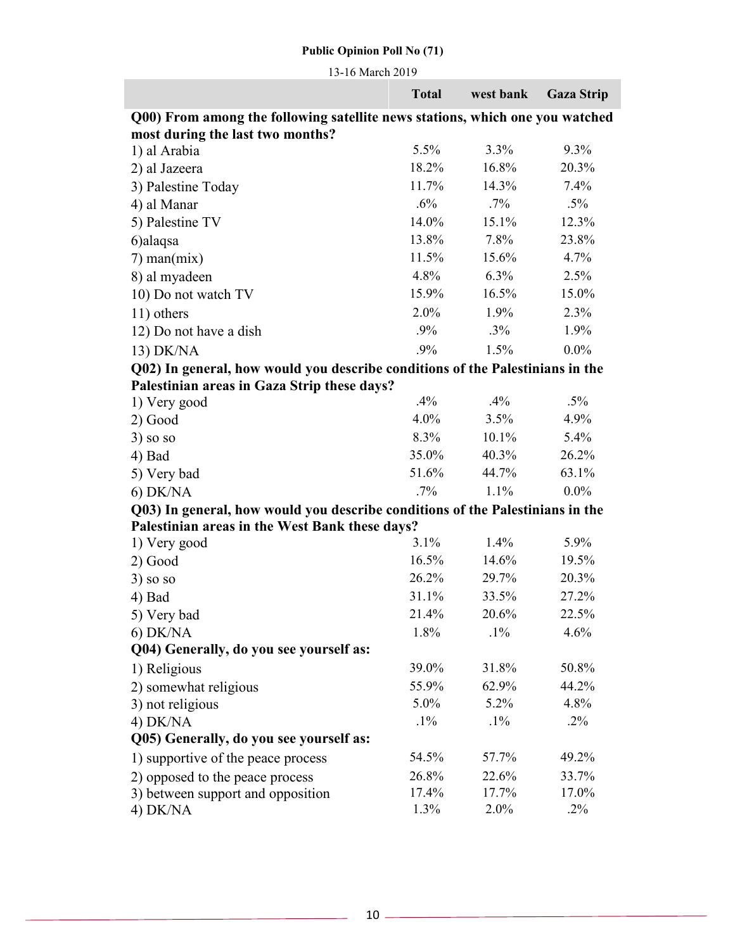13-16 March 2019

|                                                                               | <b>Total</b> | west bank | <b>Gaza Strip</b> |
|-------------------------------------------------------------------------------|--------------|-----------|-------------------|
| Q00) From among the following satellite news stations, which one you watched  |              |           |                   |
| most during the last two months?                                              |              |           |                   |
| 1) al Arabia                                                                  | 5.5%         | 3.3%      | 9.3%              |
| 2) al Jazeera                                                                 | 18.2%        | 16.8%     | 20.3%             |
| 3) Palestine Today                                                            | 11.7%        | 14.3%     | 7.4%              |
| 4) al Manar                                                                   | .6%          | $.7\%$    | $.5\%$            |
| 5) Palestine TV                                                               | 14.0%        | 15.1%     | 12.3%             |
| 6)alaqsa                                                                      | 13.8%        | 7.8%      | 23.8%             |
| $7)$ man $(mix)$                                                              | 11.5%        | 15.6%     | 4.7%              |
| 8) al myadeen                                                                 | 4.8%         | $6.3\%$   | 2.5%              |
| 10) Do not watch TV                                                           | 15.9%        | 16.5%     | 15.0%             |
| 11) others                                                                    | $2.0\%$      | 1.9%      | 2.3%              |
| 12) Do not have a dish                                                        | .9%          | $.3\%$    | 1.9%              |
| 13) DK/NA                                                                     | .9%          | 1.5%      | $0.0\%$           |
| Q02) In general, how would you describe conditions of the Palestinians in the |              |           |                   |
| Palestinian areas in Gaza Strip these days?                                   |              |           |                   |
| 1) Very good                                                                  | .4%          | $.4\%$    | $.5\%$            |
| 2) Good                                                                       | 4.0%         | 3.5%      | 4.9%              |
| $3)$ so so                                                                    | 8.3%         | 10.1%     | 5.4%              |
| 4) Bad                                                                        | 35.0%        | 40.3%     | 26.2%             |
| 5) Very bad                                                                   | 51.6%        | 44.7%     | 63.1%             |
| $6)$ DK/NA                                                                    | $.7\%$       | 1.1%      | $0.0\%$           |
| Q03) In general, how would you describe conditions of the Palestinians in the |              |           |                   |
| Palestinian areas in the West Bank these days?                                |              |           |                   |
| 1) Very good                                                                  | 3.1%         | 1.4%      | 5.9%              |
| 2) Good                                                                       | 16.5%        | 14.6%     | 19.5%             |
| $3)$ so so                                                                    | 26.2%        | 29.7%     | 20.3%             |
| 4) Bad                                                                        | 31.1%        | 33.5%     | 27.2%             |
| 5) Very bad                                                                   | 21.4%        | 20.6%     | 22.5%             |
| $6)$ DK/NA                                                                    | 1.8%         | $.1\%$    | 4.6%              |
| Q04) Generally, do you see yourself as:                                       |              |           |                   |
| 1) Religious                                                                  | 39.0%        | 31.8%     | 50.8%             |
| 2) somewhat religious                                                         | 55.9%        | 62.9%     | 44.2%             |
| 3) not religious                                                              | 5.0%         | 5.2%      | 4.8%              |
| 4) DK/NA                                                                      | $.1\%$       | $.1\%$    | $.2\%$            |
| Q05) Generally, do you see yourself as:                                       |              |           |                   |
| 1) supportive of the peace process                                            | 54.5%        | 57.7%     | 49.2%             |
| 2) opposed to the peace process                                               | 26.8%        | 22.6%     | 33.7%             |
| 3) between support and opposition                                             | 17.4%        | 17.7%     | 17.0%             |
| 4) DK/NA                                                                      | 1.3%         | 2.0%      | $.2\%$            |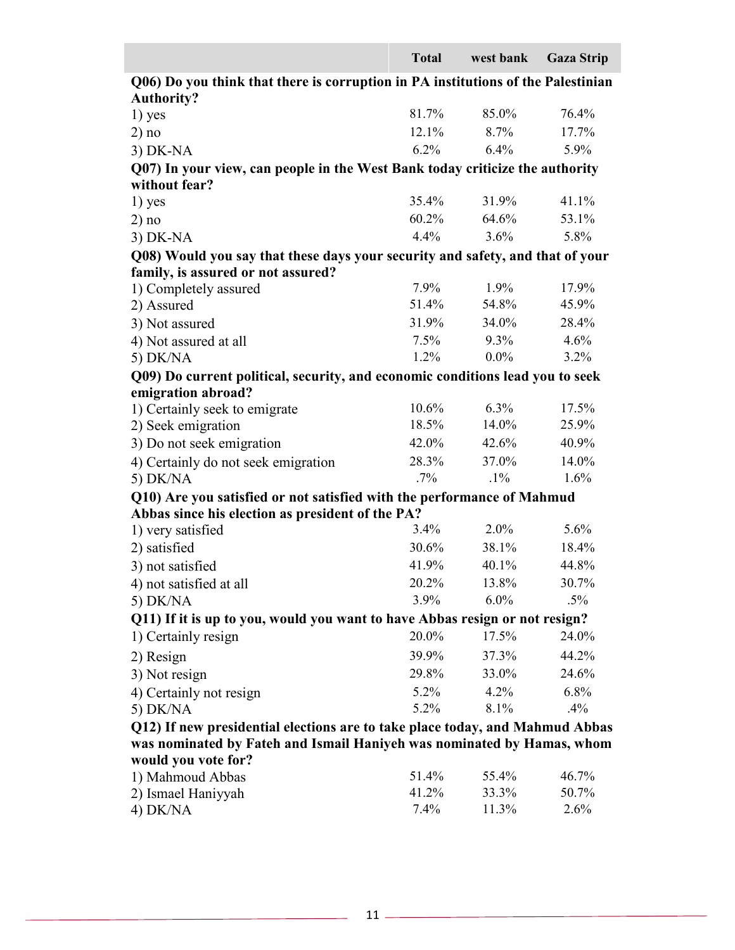|                                                                                                                            | <b>Total</b> | west bank | <b>Gaza Strip</b> |  |
|----------------------------------------------------------------------------------------------------------------------------|--------------|-----------|-------------------|--|
| Q06) Do you think that there is corruption in PA institutions of the Palestinian                                           |              |           |                   |  |
| <b>Authority?</b>                                                                                                          |              |           |                   |  |
| $1)$ yes                                                                                                                   | 81.7%        | 85.0%     | 76.4%             |  |
| 2) no                                                                                                                      | 12.1%        | 8.7%      | 17.7%             |  |
| $3)$ DK-NA                                                                                                                 | $6.2\%$      | 6.4%      | 5.9%              |  |
| Q07) In your view, can people in the West Bank today criticize the authority                                               |              |           |                   |  |
| without fear?                                                                                                              |              |           |                   |  |
| $1)$ yes                                                                                                                   | 35.4%        | 31.9%     | 41.1%             |  |
| 2) no                                                                                                                      | $60.2\%$     | 64.6%     | 53.1%             |  |
| $3)$ DK-NA                                                                                                                 | 4.4%         | 3.6%      | 5.8%              |  |
| Q08) Would you say that these days your security and safety, and that of your                                              |              |           |                   |  |
| family, is assured or not assured?                                                                                         |              |           |                   |  |
| 1) Completely assured                                                                                                      | 7.9%         | $1.9\%$   | 17.9%             |  |
| 2) Assured                                                                                                                 | 51.4%        | 54.8%     | 45.9%             |  |
| 3) Not assured                                                                                                             | 31.9%        | 34.0%     | 28.4%             |  |
| 4) Not assured at all                                                                                                      | $7.5\%$      | 9.3%      | 4.6%              |  |
| 5) DK/NA                                                                                                                   | $1.2\%$      | $0.0\%$   | $3.2\%$           |  |
| Q09) Do current political, security, and economic conditions lead you to seek                                              |              |           |                   |  |
| emigration abroad?                                                                                                         | $10.6\%$     | $6.3\%$   | 17.5%             |  |
| 1) Certainly seek to emigrate<br>2) Seek emigration                                                                        | 18.5%        | 14.0%     | 25.9%             |  |
|                                                                                                                            | 42.0%        | 42.6%     | 40.9%             |  |
| 3) Do not seek emigration                                                                                                  | 28.3%        | 37.0%     | 14.0%             |  |
| 4) Certainly do not seek emigration<br>5) DK/NA                                                                            | $.7\%$       | $.1\%$    | 1.6%              |  |
|                                                                                                                            |              |           |                   |  |
| Q10) Are you satisfied or not satisfied with the performance of Mahmud<br>Abbas since his election as president of the PA? |              |           |                   |  |
| 1) very satisfied                                                                                                          | $3.4\%$      | $2.0\%$   | 5.6%              |  |
| 2) satisfied                                                                                                               | 30.6%        | 38.1%     | 18.4%             |  |
| 3) not satisfied                                                                                                           | 41.9%        | 40.1%     | 44.8%             |  |
| 4) not satisfied at all                                                                                                    | 20.2%        | 13.8%     | 30.7%             |  |
| 5) DK/NA                                                                                                                   | 3.9%         | $6.0\%$   | $.5\%$            |  |
| Q11) If it is up to you, would you want to have Abbas resign or not resign?                                                |              |           |                   |  |
| 1) Certainly resign                                                                                                        | 20.0%        | 17.5%     | 24.0%             |  |
| 2) Resign                                                                                                                  | 39.9%        | 37.3%     | 44.2%             |  |
| 3) Not resign                                                                                                              | 29.8%        | 33.0%     | 24.6%             |  |
| 4) Certainly not resign                                                                                                    | 5.2%         | 4.2%      | 6.8%              |  |
| 5) DK/NA                                                                                                                   | 5.2%         | 8.1%      | .4%               |  |
| Q12) If new presidential elections are to take place today, and Mahmud Abbas                                               |              |           |                   |  |
| was nominated by Fateh and Ismail Haniyeh was nominated by Hamas, whom                                                     |              |           |                   |  |
| would you vote for?                                                                                                        |              |           |                   |  |
| 1) Mahmoud Abbas                                                                                                           | 51 $4\%$     | 55 $4\%$  | $46.7\%$          |  |

| 1) Mahmoud Abbas   | 51.4%   | 55.4% | 46.7% |
|--------------------|---------|-------|-------|
| 2) Ismael Haniyyah | 41.2%   | 33.3% | 50.7% |
| $4)$ DK/NA         | $7.4\%$ | 11.3% | 2.6%  |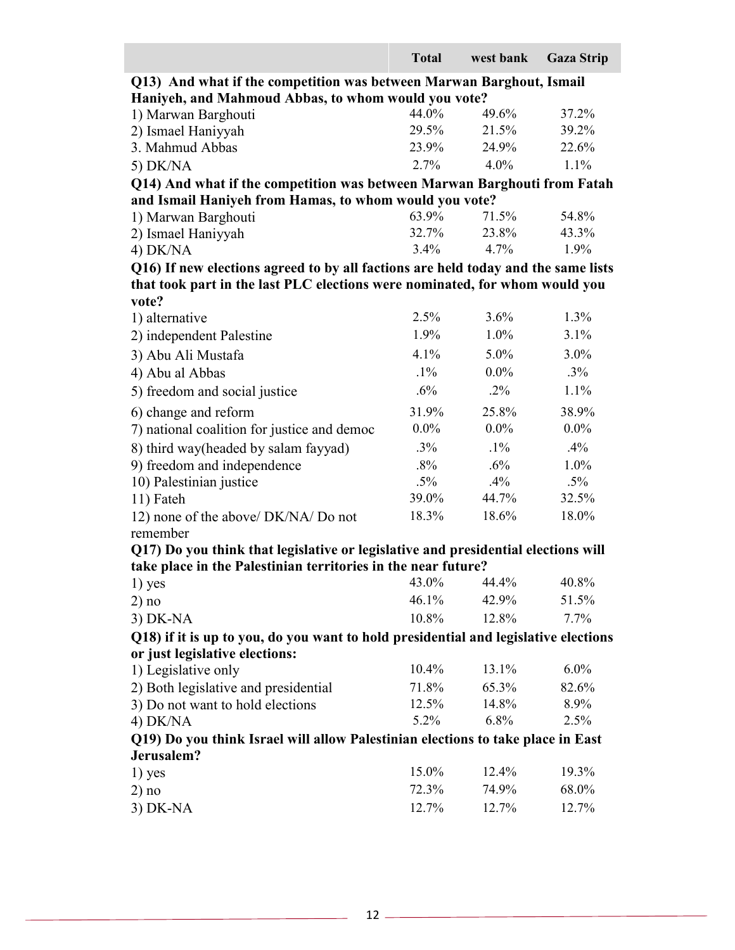|                                                                                     | <b>Total</b> | west bank   | <b>Gaza Strip</b> |
|-------------------------------------------------------------------------------------|--------------|-------------|-------------------|
| Q13) And what if the competition was between Marwan Barghout, Ismail                |              |             |                   |
| Haniyeh, and Mahmoud Abbas, to whom would you vote?                                 |              |             |                   |
| 1) Marwan Barghouti                                                                 | 44.0%        | 49.6%       | 37.2%             |
| 2) Ismael Haniyyah                                                                  | 29.5%        | 21.5%       | 39.2%             |
| 3. Mahmud Abbas                                                                     | 23.9%        | 24.9%       | 22.6%             |
| 5) DK/NA                                                                            | 2.7%         | 4.0%        | 1.1%              |
| Q14) And what if the competition was between Marwan Barghouti from Fatah            |              |             |                   |
| and Ismail Haniyeh from Hamas, to whom would you vote?                              |              |             |                   |
| 1) Marwan Barghouti                                                                 | 63.9%        | 71.5%       | 54.8%             |
| 2) Ismael Haniyyah                                                                  | 32.7%        | 23.8%       | 43.3%             |
| 4) DK/NA                                                                            | $3.4\%$      | 4.7%        | 1.9%              |
| Q16) If new elections agreed to by all factions are held today and the same lists   |              |             |                   |
| that took part in the last PLC elections were nominated, for whom would you         |              |             |                   |
| vote?                                                                               |              |             |                   |
| 1) alternative                                                                      | 2.5%         | 3.6%        | 1.3%              |
| 2) independent Palestine                                                            | 1.9%         | 1.0%        | 3.1%              |
| 3) Abu Ali Mustafa                                                                  | 4.1%         | 5.0%        | 3.0%              |
| 4) Abu al Abbas                                                                     | $.1\%$       | $0.0\%$     | $.3\%$            |
| 5) freedom and social justice                                                       | $.6\%$       | $.2\%$      | 1.1%              |
| 6) change and reform                                                                | 31.9%        | 25.8%       | 38.9%             |
| 7) national coalition for justice and democ                                         | $0.0\%$      | $0.0\%$     | $0.0\%$           |
| 8) third way(headed by salam fayyad)                                                | $.3\%$       | $.1\%$      | $.4\%$            |
| 9) freedom and independence                                                         | $.8\%$       | $.6\%$      | 1.0%              |
| 10) Palestinian justice                                                             | $.5\%$       | .4%         | $.5\%$            |
| 11) Fateh                                                                           | 39.0%        | 44.7%       | 32.5%             |
| 12) none of the above/ DK/NA/ Do not                                                | 18.3%        | 18.6%       | 18.0%             |
| remember                                                                            |              |             |                   |
| Q17) Do you think that legislative or legislative and presidential elections will   |              |             |                   |
| take place in the Palestinian territories in the near future?                       |              |             |                   |
| $1)$ yes                                                                            |              | 43.0% 44.4% | 40.8%             |
| 2) no                                                                               | 46.1%        | 42.9%       | 51.5%             |
| $3)$ DK-NA                                                                          | $10.8\%$     | 12.8%       | $7.7\%$           |
| Q18) if it is up to you, do you want to hold presidential and legislative elections |              |             |                   |
| or just legislative elections:                                                      |              |             |                   |
| 1) Legislative only                                                                 | $10.4\%$     | $13.1\%$    | $6.0\%$           |
| 2) Both legislative and presidential                                                | 71.8%        | 65.3%       | 82.6%             |
| 3) Do not want to hold elections                                                    | 12.5%        | 14.8%       | 8.9%              |
| 4) DK/NA                                                                            | $5.2\%$      | $6.8\%$     | 2.5%              |
| Q19) Do you think Israel will allow Palestinian elections to take place in East     |              |             |                   |
| Jerusalem?                                                                          |              |             |                   |
| $1)$ yes                                                                            | 15.0%        | 12.4%       | 19.3%             |
| 2) no                                                                               | 72.3%        | 74.9%       | 68.0%             |
| $3)$ DK-NA                                                                          | 12.7%        | 12.7%       | 12.7%             |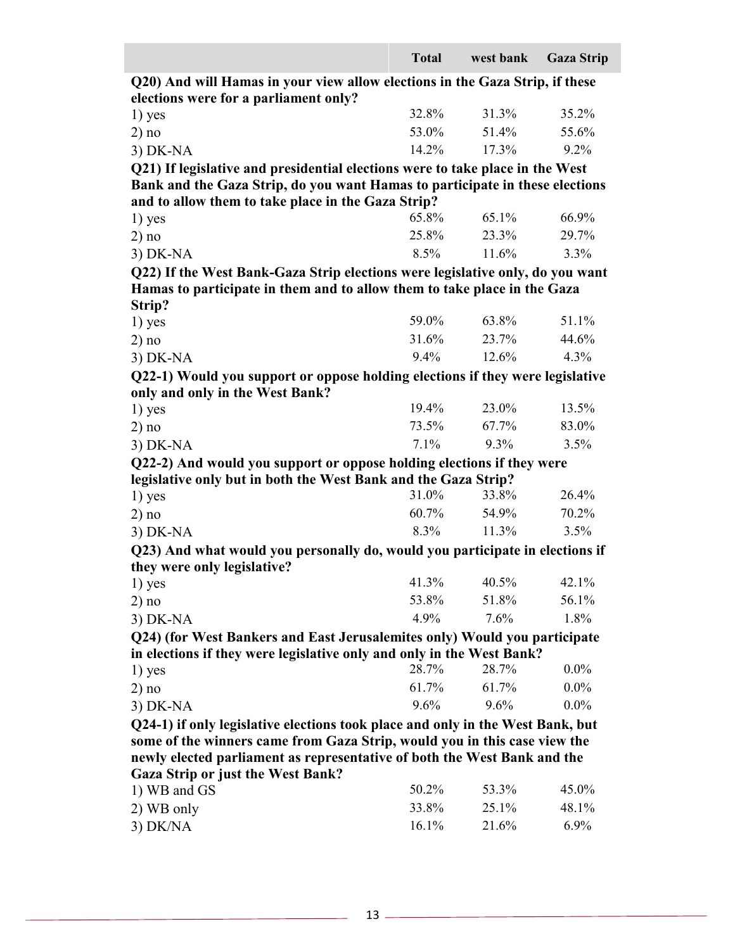|                                                                                | <b>Total</b> | west bank | <b>Gaza Strip</b> |
|--------------------------------------------------------------------------------|--------------|-----------|-------------------|
| Q20) And will Hamas in your view allow elections in the Gaza Strip, if these   |              |           |                   |
| elections were for a parliament only?                                          |              |           |                   |
| $1)$ yes                                                                       | 32.8%        | 31.3%     | 35.2%             |
| 2) no                                                                          | 53.0%        | 51.4%     | 55.6%             |
| $3)$ DK-NA                                                                     | 14.2%        | 17.3%     | 9.2%              |
| Q21) If legislative and presidential elections were to take place in the West  |              |           |                   |
| Bank and the Gaza Strip, do you want Hamas to participate in these elections   |              |           |                   |
| and to allow them to take place in the Gaza Strip?                             |              |           |                   |
| $1)$ yes                                                                       | 65.8%        | 65.1%     | 66.9%             |
| 2) no                                                                          | 25.8%        | 23.3%     | 29.7%             |
| $3)$ DK-NA                                                                     | 8.5%         | 11.6%     | 3.3%              |
| Q22) If the West Bank-Gaza Strip elections were legislative only, do you want  |              |           |                   |
| Hamas to participate in them and to allow them to take place in the Gaza       |              |           |                   |
| Strip?                                                                         |              |           |                   |
| $1)$ yes                                                                       | 59.0%        | 63.8%     | 51.1%             |
| 2) no                                                                          | 31.6%        | 23.7%     | 44.6%             |
| $3)$ DK-NA                                                                     | 9.4%         | 12.6%     | 4.3%              |
| Q22-1) Would you support or oppose holding elections if they were legislative  |              |           |                   |
| only and only in the West Bank?                                                |              |           |                   |
| $1)$ yes                                                                       | 19.4%        | 23.0%     | 13.5%             |
| 2) no                                                                          | 73.5%        | 67.7%     | 83.0%             |
| $3)$ DK-NA                                                                     | 7.1%         | $9.3\%$   | 3.5%              |
| Q22-2) And would you support or oppose holding elections if they were          |              |           |                   |
| legislative only but in both the West Bank and the Gaza Strip?                 |              |           |                   |
| $1)$ yes                                                                       | 31.0%        | 33.8%     | 26.4%             |
| 2) no                                                                          | 60.7%        | 54.9%     | 70.2%             |
| $3)$ DK-NA                                                                     | 8.3%         | 11.3%     | 3.5%              |
| Q23) And what would you personally do, would you participate in elections if   |              |           |                   |
| they were only legislative?                                                    |              |           | 42.1%             |
| 1) yes                                                                         | 41.3%        | $40.5\%$  |                   |
| 2) no                                                                          | 53.8%        | 51.8%     | 56.1%             |
| $3)$ DK-NA                                                                     | 4.9%         | 7.6%      | 1.8%              |
| Q24) (for West Bankers and East Jerusalemites only) Would you participate      |              |           |                   |
| in elections if they were legislative only and only in the West Bank?          |              |           |                   |
| 1) yes                                                                         | 28.7%        | 28.7%     | $0.0\%$           |
| 2) no                                                                          | 61.7%        | 61.7%     | $0.0\%$           |
| $3)$ DK-NA                                                                     | 9.6%         | 9.6%      | $0.0\%$           |
| Q24-1) if only legislative elections took place and only in the West Bank, but |              |           |                   |
| some of the winners came from Gaza Strip, would you in this case view the      |              |           |                   |
| newly elected parliament as representative of both the West Bank and the       |              |           |                   |
| <b>Gaza Strip or just the West Bank?</b>                                       | 50.2%        | 53.3%     | 45.0%             |
| 1) WB and GS                                                                   |              |           |                   |
| 2) WB only                                                                     | 33.8%        | 25.1%     | 48.1%             |
| $3)$ DK/NA                                                                     | 16.1%        | 21.6%     | 6.9%              |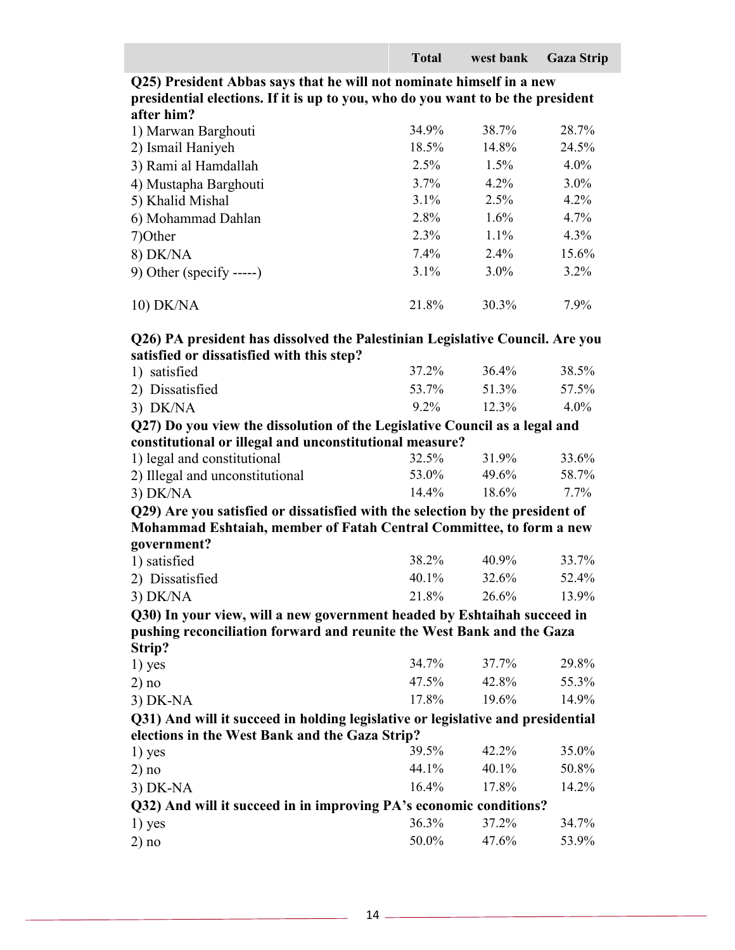**Q25) President Abbas says that he will not nominate himself in a new presidential elections. If it is up to you, who do you want to be the president after him?**

| 1) Marwan Barghouti      | 34.9%   | 38.7%   | 28.7%   |
|--------------------------|---------|---------|---------|
| 2) Ismail Haniyeh        | 18.5%   | 14.8%   | 24.5%   |
| 3) Rami al Hamdallah     | 2.5%    | 1.5%    | $4.0\%$ |
| 4) Mustapha Barghouti    | 3.7%    | $4.2\%$ | $3.0\%$ |
| 5) Khalid Mishal         | $3.1\%$ | $2.5\%$ | $4.2\%$ |
| 6) Mohammad Dahlan       | 2.8%    | $1.6\%$ | 4.7%    |
| 7) Other                 | $2.3\%$ | $1.1\%$ | $4.3\%$ |
| 8) DK/NA                 | 7.4%    | $2.4\%$ | 15.6%   |
| 9) Other (specify -----) | 3.1%    | $3.0\%$ | $3.2\%$ |
| 10) DK/NA                | 21.8%   | 30.3%   | 7.9%    |

### **Q26) PA president has dissolved the Palestinian Legislative Council. Are you satisfied or dissatisfied with this step?**

| 1) satisfied    | 37.2%   | 36.4% | 38.5%   |
|-----------------|---------|-------|---------|
| 2) Dissatisfied | 53.7%   | 51.3% | 57.5%   |
| $3)$ DK/NA      | $9.2\%$ | 12.3% | $4.0\%$ |

### **Q27) Do you view the dissolution of the Legislative Council as a legal and constitutional or illegal and unconstitutional measure?**

| 1) legal and constitutional     | 32.5%    | 31.9%    | 33.6%   |
|---------------------------------|----------|----------|---------|
| 2) Illegal and unconstitutional | 53.0%    | $49.6\%$ | 58.7%   |
| $3)$ DK/NA                      | $14.4\%$ | $18.6\%$ | $7.7\%$ |

**Q29) Are you satisfied or dissatisfied with the selection by the president of Mohammad Eshtaiah, member of Fatah Central Committee, to form a new government?**

| 1) satisfied    | 38.2%    | 40.9% | 33.7% |
|-----------------|----------|-------|-------|
| 2) Dissatisfied | $40.1\%$ | 32.6% | 52.4% |
| $3)$ DK/NA      | 21.8%    | 26.6% | 13.9% |

#### **Q30) In your view, will a new government headed by Eshtaihah succeed in pushing reconciliation forward and reunite the West Bank and the Gaza Strip?**

| 34.7%                                          | 37.7%    | 29.8%                                                                                                                                                 |
|------------------------------------------------|----------|-------------------------------------------------------------------------------------------------------------------------------------------------------|
| 47.5%                                          | 42.8%    | 55.3%                                                                                                                                                 |
| 17.8%                                          | 19.6%    | 14.9%                                                                                                                                                 |
|                                                |          |                                                                                                                                                       |
| elections in the West Bank and the Gaza Strip? |          |                                                                                                                                                       |
| 39.5%                                          | 42.2%    | $35.0\%$                                                                                                                                              |
| 44.1%                                          | $40.1\%$ | 50.8%                                                                                                                                                 |
| $16.4\%$                                       | 17.8%    | 14.2%                                                                                                                                                 |
|                                                |          |                                                                                                                                                       |
| 36.3%                                          | 37.2%    | 34.7%                                                                                                                                                 |
| 50.0%                                          | 47.6%    | 53.9%                                                                                                                                                 |
|                                                |          | Q31) And will it succeed in holding legislative or legislative and presidential<br>Q32) And will it succeed in in improving PA's economic conditions? |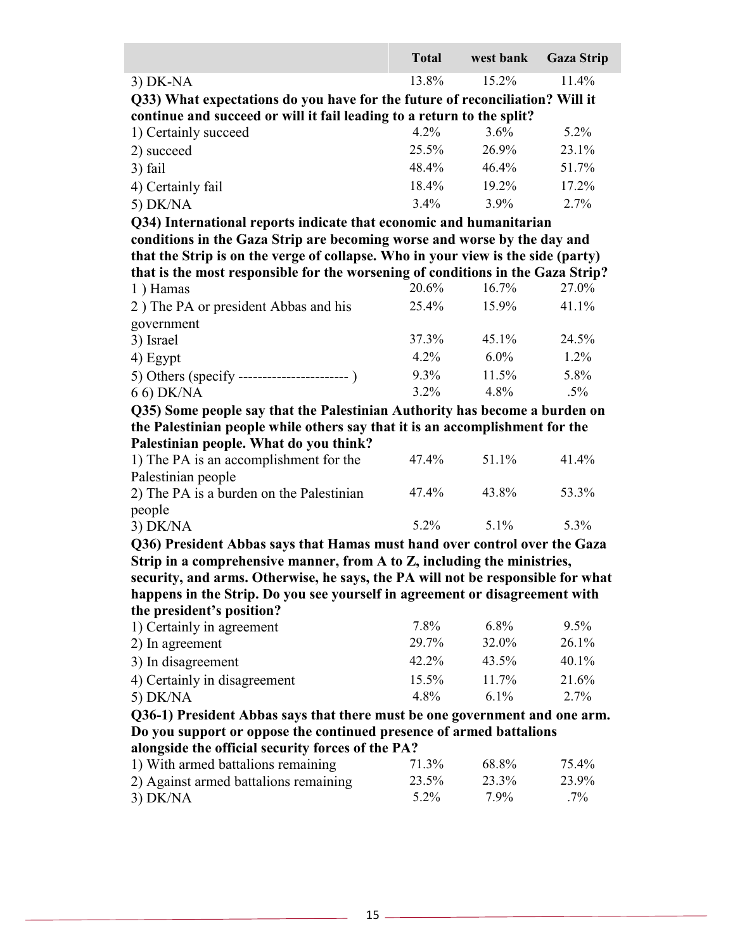|                                                                                                                                                                | <b>Total</b> | west bank | <b>Gaza Strip</b> |
|----------------------------------------------------------------------------------------------------------------------------------------------------------------|--------------|-----------|-------------------|
| $3)$ DK-NA                                                                                                                                                     | 13.8%        | 15.2%     | 11.4%             |
| Q33) What expectations do you have for the future of reconciliation? Will it                                                                                   |              |           |                   |
| continue and succeed or will it fail leading to a return to the split?                                                                                         |              |           |                   |
| 1) Certainly succeed                                                                                                                                           | 4.2%         | $3.6\%$   | 5.2%              |
| 2) succeed                                                                                                                                                     | 25.5%        | 26.9%     | 23.1%             |
| 3) fail                                                                                                                                                        | 48.4%        | 46.4%     | 51.7%             |
| 4) Certainly fail                                                                                                                                              | 18.4%        | 19.2%     | 17.2%             |
| 5) DK/NA                                                                                                                                                       | 3.4%         | 3.9%      | 2.7%              |
| Q34) International reports indicate that economic and humanitarian                                                                                             |              |           |                   |
| conditions in the Gaza Strip are becoming worse and worse by the day and                                                                                       |              |           |                   |
| that the Strip is on the verge of collapse. Who in your view is the side (party)                                                                               |              |           |                   |
| that is the most responsible for the worsening of conditions in the Gaza Strip?                                                                                |              |           |                   |
| 1) Hamas                                                                                                                                                       | 20.6%        | 16.7%     | 27.0%             |
| 2) The PA or president Abbas and his                                                                                                                           | 25.4%        | 15.9%     | 41.1%             |
| government                                                                                                                                                     |              |           |                   |
| 3) Israel                                                                                                                                                      | 37.3%        | 45.1%     | 24.5%             |
| 4) Egypt                                                                                                                                                       | 4.2%         | $6.0\%$   | 1.2%              |
|                                                                                                                                                                | 9.3%         | 11.5%     | 5.8%              |
| 6 6) DK/NA                                                                                                                                                     | $3.2\%$      | 4.8%      | $.5\%$            |
| Q35) Some people say that the Palestinian Authority has become a burden on                                                                                     |              |           |                   |
| the Palestinian people while others say that it is an accomplishment for the                                                                                   |              |           |                   |
| Palestinian people. What do you think?                                                                                                                         |              |           |                   |
| 1) The PA is an accomplishment for the                                                                                                                         | 47.4%        | 51.1%     | 41.4%             |
| Palestinian people                                                                                                                                             |              |           |                   |
| 2) The PA is a burden on the Palestinian                                                                                                                       | 47.4%        | 43.8%     | 53.3%             |
| people                                                                                                                                                         |              |           |                   |
| $3)$ DK/NA                                                                                                                                                     | 5.2%         | $5.1\%$   | 5.3%              |
| Q36) President Abbas says that Hamas must hand over control over the Gaza                                                                                      |              |           |                   |
| Strip in a comprehensive manner, from A to Z, including the ministries,                                                                                        |              |           |                   |
| security, and arms. Otherwise, he says, the PA will not be responsible for what<br>happens in the Strip. Do you see yourself in agreement or disagreement with |              |           |                   |
| the president's position?                                                                                                                                      |              |           |                   |
| 1) Certainly in agreement                                                                                                                                      | $7.8\%$      | $6.8\%$   | 9.5%              |
| 2) In agreement                                                                                                                                                | 29.7%        | 32.0%     | 26.1%             |
| 3) In disagreement                                                                                                                                             | 42.2%        | 43.5%     | 40.1%             |
| 4) Certainly in disagreement                                                                                                                                   | 15.5%        | 11.7%     | 21.6%             |
| 5) DK/NA                                                                                                                                                       | $4.8\%$      | $6.1\%$   | 2.7%              |
| Q36-1) President Abbas says that there must be one government and one arm.                                                                                     |              |           |                   |
| Do you support or oppose the continued presence of armed battalions                                                                                            |              |           |                   |
| alongside the official security forces of the PA?                                                                                                              |              |           |                   |
| 1) With armed battalions remaining                                                                                                                             | 71.3%        | 68.8%     | 75.4%             |
| 2) Against armed battalions remaining                                                                                                                          | 23.5%        | 23.3%     | 23.9%             |
| 3) DK/NA                                                                                                                                                       | $5.2\%$      | $7.9\%$   | $.7\%$            |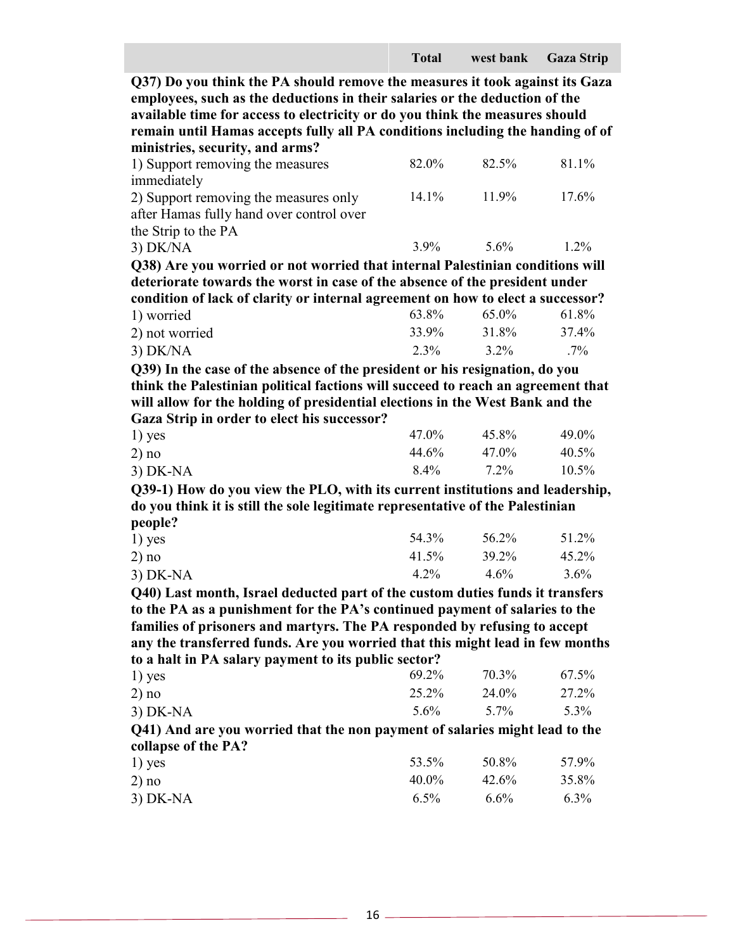**Q37) Do you think the PA should remove the measures it took against its Gaza employees, such as the deductions in their salaries or the deduction of the available time for access to electricity or do you think the measures should remain until Hamas accepts fully all PA conditions including the handing of of ministries, security, and arms?**

| 1) Support removing the measures         | 82.0%    | 82.5% | 81.1%   |
|------------------------------------------|----------|-------|---------|
| immediately                              |          |       |         |
| 2) Support removing the measures only    | $14.1\%$ | 11.9% | 17.6%   |
| after Hamas fully hand over control over |          |       |         |
| the Strip to the PA                      |          |       |         |
| $3)$ DK/NA                               | $3.9\%$  | 5.6%  | $1.2\%$ |

**Q38) Are you worried or not worried that internal Palestinian conditions will deteriorate towards the worst in case of the absence of the president under condition of lack of clarity or internal agreement on how to elect a successor?**

| 1) worried     |  | 63.8% | 65.0% | 61.8%  |
|----------------|--|-------|-------|--------|
| 2) not worried |  | 33.9% | 31.8% | 37.4%  |
| $3)$ DK/NA     |  | 2.3%  | 3.2%  | $.7\%$ |

**Q39) In the case of the absence of the president or his resignation, do you think the Palestinian political factions will succeed to reach an agreement that will allow for the holding of presidential elections in the West Bank and the Gaza Strip in order to elect his successor?** 

| $1)$ yes   | 47.0% | 45.8%   | 49.0%    |
|------------|-------|---------|----------|
| 2) no      | 44.6% | 47.0%   | $40.5\%$ |
| $3)$ DK-NA | 8.4%  | $7.2\%$ | $10.5\%$ |

**Q39-1) How do you view the PLO, with its current institutions and leadership, do you think it is still the sole legitimate representative of the Palestinian people?**

| $1)$ yes   | 54.3%   | 56.2%   | 51.2%    |
|------------|---------|---------|----------|
| 2) no      | 41.5%   | 39.2%   | $45.2\%$ |
| $3)$ DK-NA | $4.2\%$ | $4.6\%$ | 3.6%     |

**Q40) Last month, Israel deducted part of the custom duties funds it transfers to the PA as a punishment for the PA's continued payment of salaries to the families of prisoners and martyrs. The PA responded by refusing to accept any the transferred funds. Are you worried that this might lead in few months to a halt in PA salary payment to its public sector?** 

| $1)$ yes   | 69.2%   | 70.3% | 67.5% |
|------------|---------|-------|-------|
| 2) no      | 25.2%   | 24.0% | 27.2% |
| $3)$ DK-NA | $5.6\%$ | 5.7%  | 5.3%  |

**Q41) And are you worried that the non payment of salaries might lead to the collapse of the PA?**

| $1)$ yes   | 53.5%    | 50.8%   | 57.9%   |
|------------|----------|---------|---------|
| 2) no      | $40.0\%$ | 42.6%   | 35.8%   |
| $3)$ DK-NA | $6.5\%$  | $6.6\%$ | $6.3\%$ |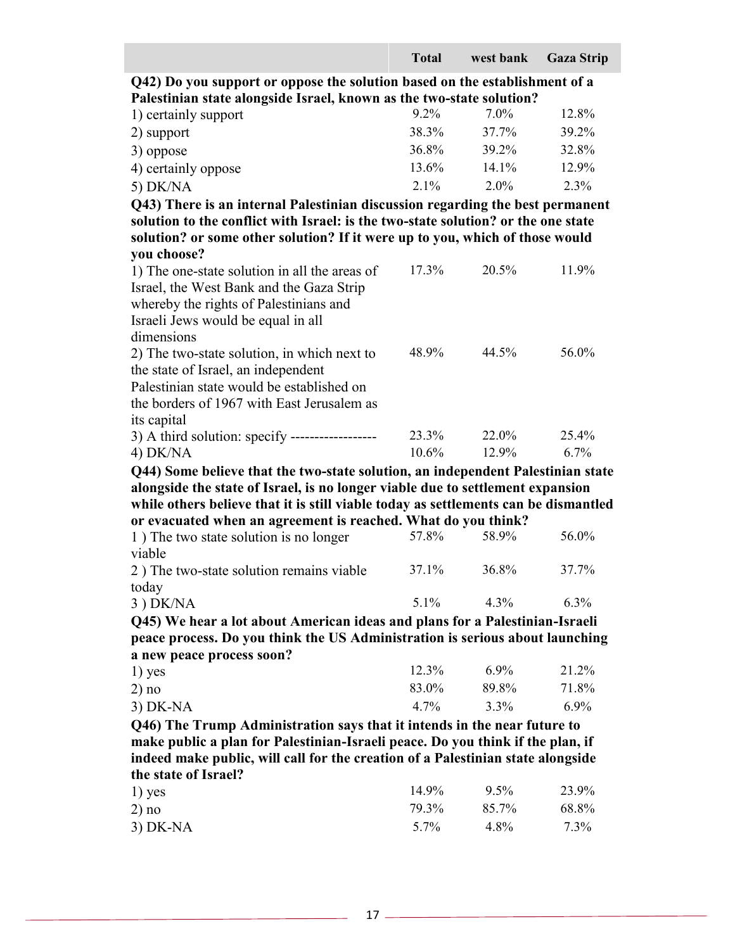|                                                                                     | <b>Total</b> | west bank | <b>Gaza Strip</b> |  |  |
|-------------------------------------------------------------------------------------|--------------|-----------|-------------------|--|--|
| Q42) Do you support or oppose the solution based on the establishment of a          |              |           |                   |  |  |
| Palestinian state alongside Israel, known as the two-state solution?                |              |           |                   |  |  |
| 1) certainly support                                                                | $9.2\%$      | 7.0%      | 12.8%             |  |  |
| 2) support                                                                          | 38.3%        | 37.7%     | 39.2%             |  |  |
| 3) oppose                                                                           | 36.8%        | 39.2%     | 32.8%             |  |  |
| 4) certainly oppose                                                                 | 13.6%        | 14.1%     | 12.9%             |  |  |
| 5) DK/NA                                                                            | 2.1%         | $2.0\%$   | 2.3%              |  |  |
| Q43) There is an internal Palestinian discussion regarding the best permanent       |              |           |                   |  |  |
| solution to the conflict with Israel: is the two-state solution? or the one state   |              |           |                   |  |  |
| solution? or some other solution? If it were up to you, which of those would        |              |           |                   |  |  |
| you choose?                                                                         |              |           |                   |  |  |
| 1) The one-state solution in all the areas of                                       | 17.3%        | 20.5%     | 11.9%             |  |  |
| Israel, the West Bank and the Gaza Strip                                            |              |           |                   |  |  |
| whereby the rights of Palestinians and                                              |              |           |                   |  |  |
| Israeli Jews would be equal in all                                                  |              |           |                   |  |  |
| dimensions                                                                          | 48.9%        | 44.5%     | 56.0%             |  |  |
| 2) The two-state solution, in which next to                                         |              |           |                   |  |  |
| the state of Israel, an independent<br>Palestinian state would be established on    |              |           |                   |  |  |
| the borders of 1967 with East Jerusalem as                                          |              |           |                   |  |  |
| its capital                                                                         |              |           |                   |  |  |
| 3) A third solution: specify ------------------                                     | 23.3%        | 22.0%     | 25.4%             |  |  |
| 4) DK/NA                                                                            | 10.6%        | 12.9%     | 6.7%              |  |  |
| Q44) Some believe that the two-state solution, an independent Palestinian state     |              |           |                   |  |  |
| alongside the state of Israel, is no longer viable due to settlement expansion      |              |           |                   |  |  |
| while others believe that it is still viable today as settlements can be dismantled |              |           |                   |  |  |
| or evacuated when an agreement is reached. What do you think?                       |              |           |                   |  |  |
| 1) The two state solution is no longer                                              | 57.8%        | 58.9%     | 56.0%             |  |  |
| viable                                                                              |              |           |                   |  |  |
| 2) The two-state solution remains viable                                            | 37.1%        | 36.8%     | 37.7%             |  |  |
| today                                                                               |              |           |                   |  |  |
| 3) DK/NA                                                                            | 5.1%         | 4.3%      | $6.3\%$           |  |  |
| Q45) We hear a lot about American ideas and plans for a Palestinian-Israeli         |              |           |                   |  |  |
| peace process. Do you think the US Administration is serious about launching        |              |           |                   |  |  |
| a new peace process soon?                                                           |              |           |                   |  |  |
| $1)$ yes                                                                            | 12.3%        | $6.9\%$   | 21.2%             |  |  |
| 2) no                                                                               | 83.0%        | 89.8%     | 71.8%             |  |  |
| $3)$ DK-NA                                                                          | 4.7%         | 3.3%      | 6.9%              |  |  |
| Q46) The Trump Administration says that it intends in the near future to            |              |           |                   |  |  |
| make public a plan for Palestinian-Israeli peace. Do you think if the plan, if      |              |           |                   |  |  |
| indeed make public, will call for the creation of a Palestinian state alongside     |              |           |                   |  |  |
| the state of Israel?                                                                |              |           |                   |  |  |
| 1) yes                                                                              | 14.9%        | 9.5%      | 23.9%             |  |  |
| 2) no                                                                               | 79.3%        | 85.7%     | 68.8%             |  |  |
| $3)$ DK-NA                                                                          | 5.7%         | 4.8%      | 7.3%              |  |  |

<u> 1980 - Johann Barn, fransk politik (d. 1980)</u>

<u> 1980 - Johann Barn, mars ar breithinn ar breithinn ar breithinn an breithinn an breithinn an breithinn ar br</u>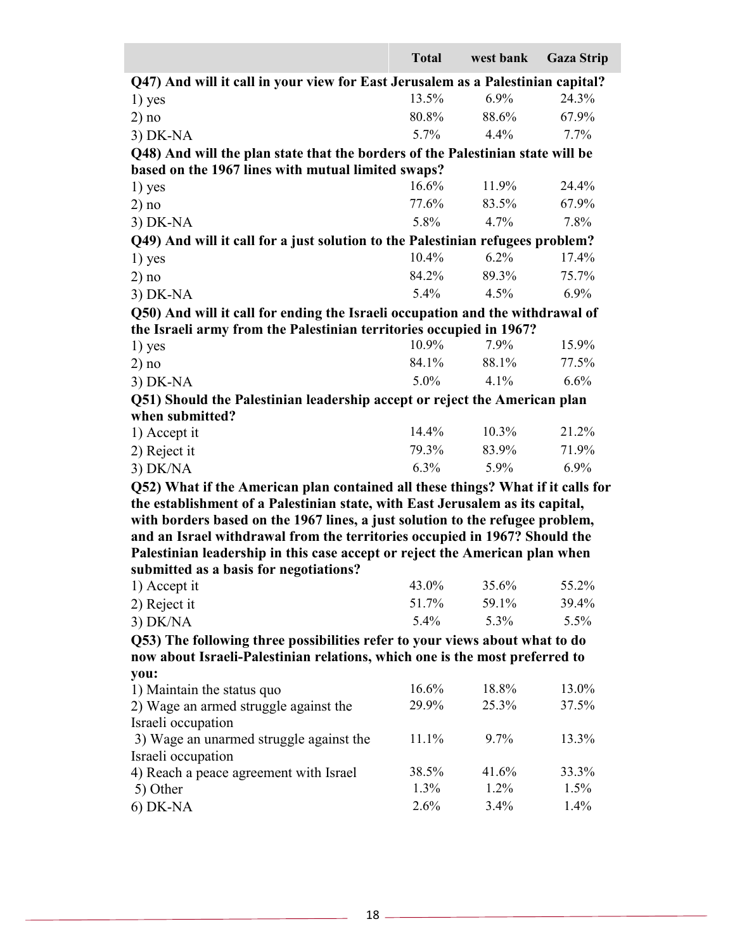|                                                                                 | <b>Total</b> | west bank | <b>Gaza Strip</b> |
|---------------------------------------------------------------------------------|--------------|-----------|-------------------|
| Q47) And will it call in your view for East Jerusalem as a Palestinian capital? |              |           |                   |
| $1)$ yes                                                                        | 13.5%        | 6.9%      | 24.3%             |
| 2) no                                                                           | 80.8%        | 88.6%     | 67.9%             |
| 3) DK-NA                                                                        | $5.7\%$      | 4.4%      | 7.7%              |
| Q48) And will the plan state that the borders of the Palestinian state will be  |              |           |                   |
| based on the 1967 lines with mutual limited swaps?                              |              |           |                   |
| $1)$ yes                                                                        | 16.6%        | 11.9%     | 24.4%             |
| 2) no                                                                           | 77.6%        | 83.5%     | 67.9%             |
| 3) DK-NA                                                                        | 5.8%         | 4.7%      | 7.8%              |
| Q49) And will it call for a just solution to the Palestinian refugees problem?  |              |           |                   |
| $1)$ yes                                                                        | 10.4%        | 6.2%      | 17.4%             |
| 2) no                                                                           | 84.2%        | 89.3%     | 75.7%             |
| $3)$ DK-NA                                                                      | 5.4%         | 4.5%      | $6.9\%$           |
| Q50) And will it call for ending the Israeli occupation and the withdrawal of   |              |           |                   |
| the Israeli army from the Palestinian territories occupied in 1967?             |              |           |                   |
| $1)$ yes                                                                        | 10.9%        | 7.9%      | 15.9%             |
| 2) no                                                                           | 84.1%        | 88.1%     | 77.5%             |
| $3)$ DK-NA                                                                      | 5.0%         | 4.1%      | 6.6%              |
| Q51) Should the Palestinian leadership accept or reject the American plan       |              |           |                   |
| when submitted?                                                                 |              |           |                   |
| 1) Accept it                                                                    | 14.4%        | 10.3%     | 21.2%             |
| 2) Reject it                                                                    | 79.3%        | 83.9%     | 71.9%             |
| 3) DK/NA                                                                        | 6.3%         | 5.9%      | 6.9%              |
| Q52) What if the American plan contained all these things? What if it calls for |              |           |                   |
| the establishment of a Palestinian state, with East Jerusalem as its capital,   |              |           |                   |
| with borders based on the 1967 lines, a just solution to the refugee problem,   |              |           |                   |
| and an Israel withdrawal from the territories occupied in 1967? Should the      |              |           |                   |
| Palestinian leadership in this case accept or reject the American plan when     |              |           |                   |
| submitted as a basis for negotiations?<br>1) Accept it                          | 43.0%        | 35.6%     | 55.2%             |
| 2) Reject it                                                                    | 51.7%        | 59.1%     | 39.4%             |
| $3)$ DK/NA                                                                      | $5.4\%$      | $5.3\%$   | 5.5%              |
| Q53) The following three possibilities refer to your views about what to do     |              |           |                   |
| now about Israeli-Palestinian relations, which one is the most preferred to     |              |           |                   |
| you:                                                                            |              |           |                   |
| 1) Maintain the status quo                                                      | 16.6%        | 18.8%     | 13.0%             |
| 2) Wage an armed struggle against the                                           | 29.9%        | 25.3%     | 37.5%             |
| Israeli occupation                                                              |              |           |                   |
| 3) Wage an unarmed struggle against the                                         | 11.1%        | $9.7\%$   | 13.3%             |
| Israeli occupation                                                              |              |           |                   |
| 4) Reach a peace agreement with Israel                                          | 38.5%        | 41.6%     | 33.3%             |
| 5) Other                                                                        | $1.3\%$      | $1.2\%$   | 1.5%              |
| $6)$ DK-NA                                                                      | 2.6%         | $3.4\%$   | 1.4%              |

J.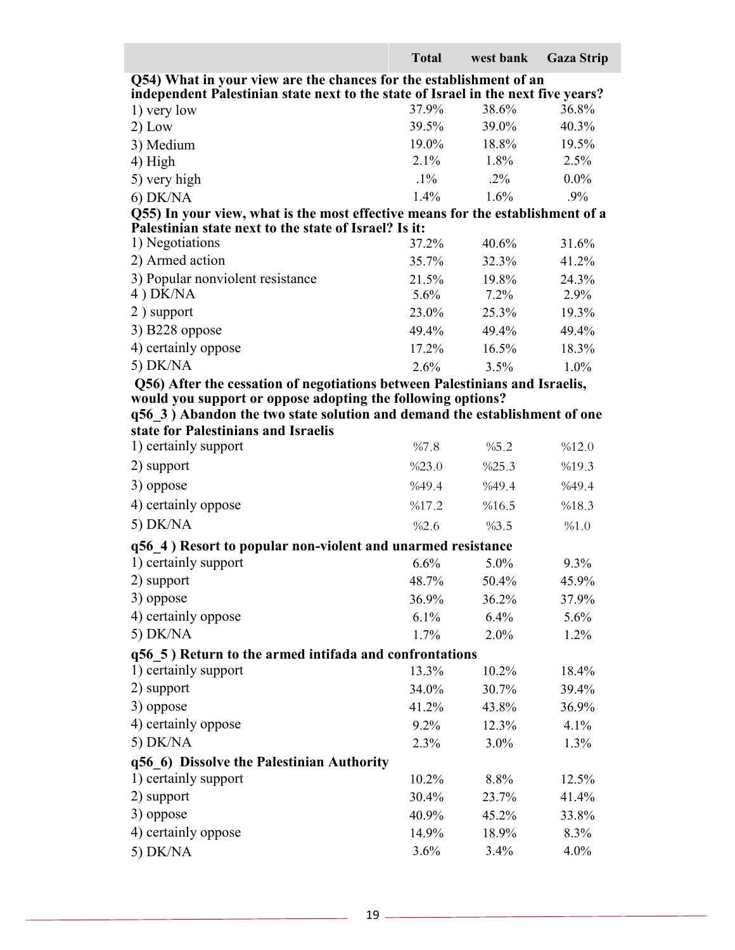|                                                                                              | <b>Total</b>   | west bank      | <b>Gaza Strip</b> |
|----------------------------------------------------------------------------------------------|----------------|----------------|-------------------|
| Q54) What in your view are the chances for the establishment of an                           |                |                |                   |
| independent Palestinian state next to the state of Israel in the next five years?            |                |                |                   |
| 1) very low                                                                                  | 37.9%<br>39.5% | 38.6%<br>39.0% | 36.8%<br>40.3%    |
| $2)$ Low                                                                                     | 19.0%          | 18.8%          | 19.5%             |
| 3) Medium                                                                                    | 2.1%           | 1.8%           | 2.5%              |
| 4) High                                                                                      | $.1\%$         | $.2\%$         | $0.0\%$           |
| 5) very high                                                                                 | 1.4%           | 1.6%           | $.9\%$            |
| $6)$ DK/NA<br>Q55) In your view, what is the most effective means for the establishment of a |                |                |                   |
| Palestinian state next to the state of Israel? Is it:                                        |                |                |                   |
| 1) Negotiations                                                                              | 37.2%          | 40.6%          | 31.6%             |
| 2) Armed action                                                                              | 35.7%          | 32.3%          | 41.2%             |
| 3) Popular nonviolent resistance                                                             | 21.5%          | 19.8%          | 24.3%             |
| 4) DK/NA                                                                                     | 5.6%           | $7.2\%$        | 2.9%              |
| 2) support                                                                                   | 23.0%          | 25.3%          | 19.3%             |
| 3) B228 oppose                                                                               | 49.4%          | 49.4%          | 49.4%             |
| 4) certainly oppose                                                                          | 17.2%          | 16.5%          | 18.3%             |
| 5) DK/NA                                                                                     | 2.6%           | 3.5%           | $1.0\%$           |
| Q56) After the cessation of negotiations between Palestinians and Israelis,                  |                |                |                   |
| would you support or oppose adopting the following options?                                  |                |                |                   |
| q56 3) Abandon the two state solution and demand the establishment of one                    |                |                |                   |
| state for Palestinians and Israelis                                                          |                |                |                   |
| 1) certainly support                                                                         | %7.8           | %5.2           | %12.0             |
| 2) support                                                                                   | %23.0          | %25.3          | %19.3             |
| 3) oppose                                                                                    | %49.4          | %49.4          | %49.4             |
| 4) certainly oppose                                                                          | %17.2          | %16.5          | %18.3             |
| 5) DK/NA                                                                                     | %2.6           | %3.5           | %1.0              |
| q56 4) Resort to popular non-violent and unarmed resistance                                  |                |                |                   |
| 1) certainly support                                                                         | 6.6%           | 5.0%           | 9.3%              |
| 2) support                                                                                   | 48.7%          | $50.4\%$       | 45.9%             |
| 3) oppose                                                                                    | 36.9%          | 36.2%          | 37.9%             |
| 4) certainly oppose                                                                          | 6.1%           | 6.4%           | 5.6%              |
| 5) DK/NA                                                                                     | 1.7%           | $2.0\%$        | 1.2%              |
| q56 5) Return to the armed intifada and confrontations                                       |                |                |                   |
| 1) certainly support                                                                         | 13.3%          | 10.2%          | 18.4%             |
| 2) support                                                                                   | 34.0%          | 30.7%          | 39.4%             |
| 3) oppose                                                                                    | 41.2%          | 43.8%          | 36.9%             |
| 4) certainly oppose                                                                          | $9.2\%$        | 12.3%          | 4.1%              |
| 5) DK/NA                                                                                     | 2.3%           | $3.0\%$        | 1.3%              |
| q56 6) Dissolve the Palestinian Authority                                                    |                |                |                   |
| 1) certainly support                                                                         | 10.2%          | 8.8%           | 12.5%             |
| 2) support                                                                                   | 30.4%          | 23.7%          | 41.4%             |
| 3) oppose                                                                                    | 40.9%          | 45.2%          | 33.8%             |
| 4) certainly oppose                                                                          | 14.9%          | 18.9%          | 8.3%              |
| 5) DK/NA                                                                                     | 3.6%           | 3.4%           | 4.0%              |

the control of the control of the control of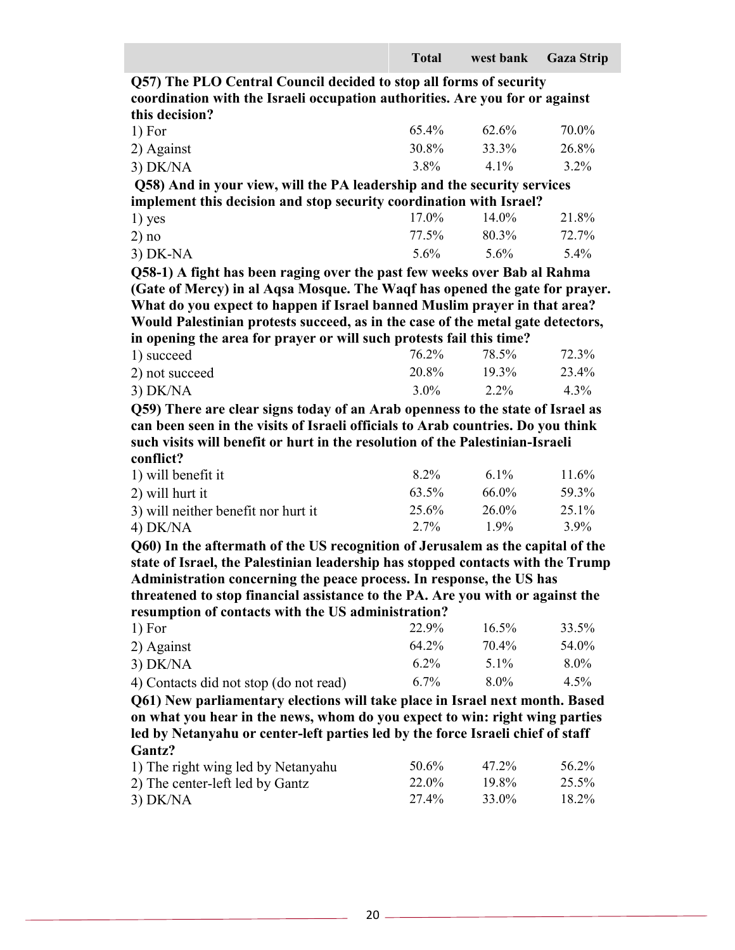**Q57) The PLO Central Council decided to stop all forms of security coordination with the Israeli occupation authorities. Are you for or against this decision?**

| 1) For     | $65.4\%$ | 62.6%   | 70.0% |
|------------|----------|---------|-------|
| 2) Against | 30.8%    | 33.3%   | 26.8% |
| $3)$ DK/NA | 3.8%     | $4.1\%$ | 3.2%  |

**Q58) And in your view, will the PA leadership and the security services implement this decision and stop security coordination with Israel?**

| $1)$ yes   | $17.0\%$ | $14.0\%$ | 21.8% |
|------------|----------|----------|-------|
| 2) no      | 77.5%    | 80.3%    | 72.7% |
| $3)$ DK-NA | $5.6\%$  | 5.6%     | 5.4%  |

**Q58-1) A fight has been raging over the past few weeks over Bab al Rahma (Gate of Mercy) in al Aqsa Mosque. The Waqf has opened the gate for prayer. What do you expect to happen if Israel banned Muslim prayer in that area? Would Palestinian protests succeed, as in the case of the metal gate detectors, in opening the area for prayer or will such protests fail this time?** 

| in opening the area for prayer or will such protests fail this thirt. |         |          |       |
|-----------------------------------------------------------------------|---------|----------|-------|
| 1) succeed                                                            | 76.2%   | 78.5%    | 72.3% |
| 2) not succeed                                                        | 20.8%   | $19.3\%$ | 23.4% |
| $3)$ DK/NA                                                            | $3.0\%$ | 2.2%     | 4.3%  |

**Q59) There are clear signs today of an Arab openness to the state of Israel as can been seen in the visits of Israeli officials to Arab countries. Do you think such visits will benefit or hurt in the resolution of the Palestinian-Israeli conflict?**

| 1) will benefit it                  | 8.2%    | 6.1%     | 11.6% |
|-------------------------------------|---------|----------|-------|
| 2) will hurt it                     | 63.5%   | 66.0%    | 59.3% |
| 3) will neither benefit nor hurt it | 25.6%   | $26.0\%$ | 25.1% |
| $4)$ DK/NA                          | $2.7\%$ | $1.9\%$  | 3.9%  |

**Q60) In the aftermath of the US recognition of Jerusalem as the capital of the state of Israel, the Palestinian leadership has stopped contacts with the Trump Administration concerning the peace process. In response, the US has threatened to stop financial assistance to the PA. Are you with or against the** 

**resumption of contacts with the US administration?**

| 1) For                                 | 22.9%   | $16.5\%$ | 33.5%   |
|----------------------------------------|---------|----------|---------|
| 2) Against                             | 64.2%   | 70.4%    | 54.0%   |
| $3)$ DK/NA                             | $6.2\%$ | $5.1\%$  | $8.0\%$ |
| 4) Contacts did not stop (do not read) | $6.7\%$ | $8.0\%$  | $4.5\%$ |

**Q61) New parliamentary elections will take place in Israel next month. Based on what you hear in the news, whom do you expect to win: right wing parties led by Netanyahu or center-left parties led by the force Israeli chief of staff Gantz?**

| 1) The right wing led by Netanyahu | 50.6% | 47.2% | 56.2% |
|------------------------------------|-------|-------|-------|
| 2) The center-left led by Gantz    | 22.0% | 19.8% | 25.5% |
| $3)$ DK/NA                         | 27.4% | 33.0% | 18.2% |